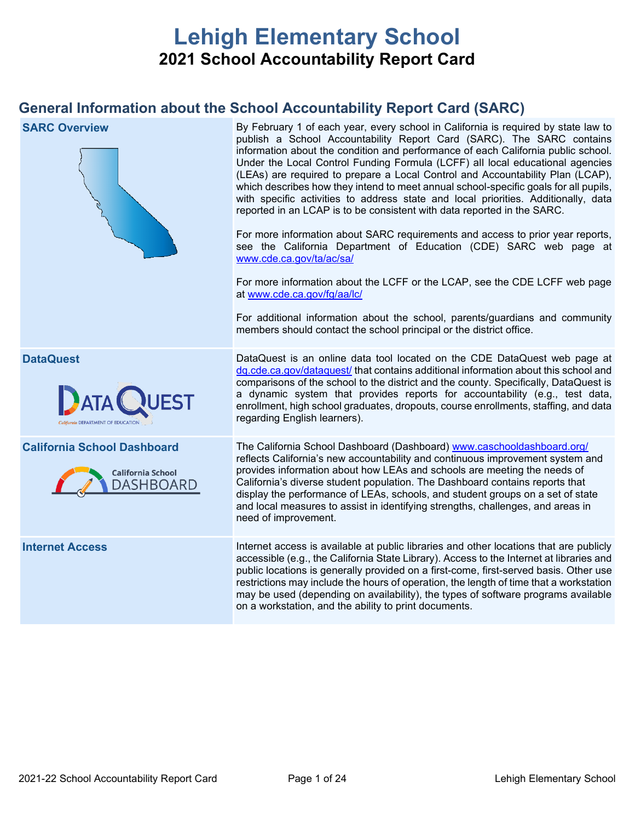# **Lehigh Elementary School 2021 School Accountability Report Card**

## **General Information about the School Accountability Report Card (SARC)**

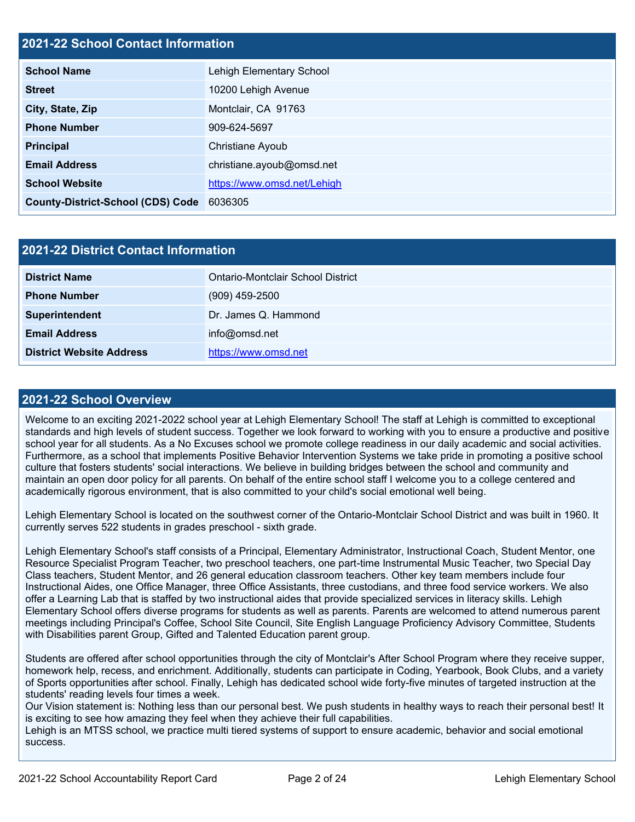## **2021-22 School Contact Information**

| <b>School Name</b>                       | Lehigh Elementary School    |  |  |  |  |
|------------------------------------------|-----------------------------|--|--|--|--|
| <b>Street</b>                            | 10200 Lehigh Avenue         |  |  |  |  |
| City, State, Zip                         | Montclair, CA 91763         |  |  |  |  |
| <b>Phone Number</b>                      | 909-624-5697                |  |  |  |  |
| <b>Principal</b>                         | Christiane Ayoub            |  |  |  |  |
| <b>Email Address</b>                     | christiane.ayoub@omsd.net   |  |  |  |  |
| <b>School Website</b>                    | https://www.omsd.net/Lehigh |  |  |  |  |
| <b>County-District-School (CDS) Code</b> | 6036305                     |  |  |  |  |

| 2021-22 District Contact Information |                                   |  |  |  |
|--------------------------------------|-----------------------------------|--|--|--|
| <b>District Name</b>                 | Ontario-Montclair School District |  |  |  |
| <b>Phone Number</b>                  | $(909)$ 459-2500                  |  |  |  |
| Superintendent                       | Dr. James Q. Hammond              |  |  |  |
| <b>Email Address</b>                 | info@omsd.net                     |  |  |  |
| <b>District Website Address</b>      | https://www.omsd.net              |  |  |  |

### **2021-22 School Overview**

Welcome to an exciting 2021-2022 school year at Lehigh Elementary School! The staff at Lehigh is committed to exceptional standards and high levels of student success. Together we look forward to working with you to ensure a productive and positive school year for all students. As a No Excuses school we promote college readiness in our daily academic and social activities. Furthermore, as a school that implements Positive Behavior Intervention Systems we take pride in promoting a positive school culture that fosters students' social interactions. We believe in building bridges between the school and community and maintain an open door policy for all parents. On behalf of the entire school staff I welcome you to a college centered and academically rigorous environment, that is also committed to your child's social emotional well being.

Lehigh Elementary School is located on the southwest corner of the Ontario-Montclair School District and was built in 1960. It currently serves 522 students in grades preschool - sixth grade.

Lehigh Elementary School's staff consists of a Principal, Elementary Administrator, Instructional Coach, Student Mentor, one Resource Specialist Program Teacher, two preschool teachers, one part-time Instrumental Music Teacher, two Special Day Class teachers, Student Mentor, and 26 general education classroom teachers. Other key team members include four Instructional Aides, one Office Manager, three Office Assistants, three custodians, and three food service workers. We also offer a Learning Lab that is staffed by two instructional aides that provide specialized services in literacy skills. Lehigh Elementary School offers diverse programs for students as well as parents. Parents are welcomed to attend numerous parent meetings including Principal's Coffee, School Site Council, Site English Language Proficiency Advisory Committee, Students with Disabilities parent Group, Gifted and Talented Education parent group.

Students are offered after school opportunities through the city of Montclair's After School Program where they receive supper, homework help, recess, and enrichment. Additionally, students can participate in Coding, Yearbook, Book Clubs, and a variety of Sports opportunities after school. Finally, Lehigh has dedicated school wide forty-five minutes of targeted instruction at the students' reading levels four times a week.

Our Vision statement is: Nothing less than our personal best. We push students in healthy ways to reach their personal best! It is exciting to see how amazing they feel when they achieve their full capabilities.

Lehigh is an MTSS school, we practice multi tiered systems of support to ensure academic, behavior and social emotional success.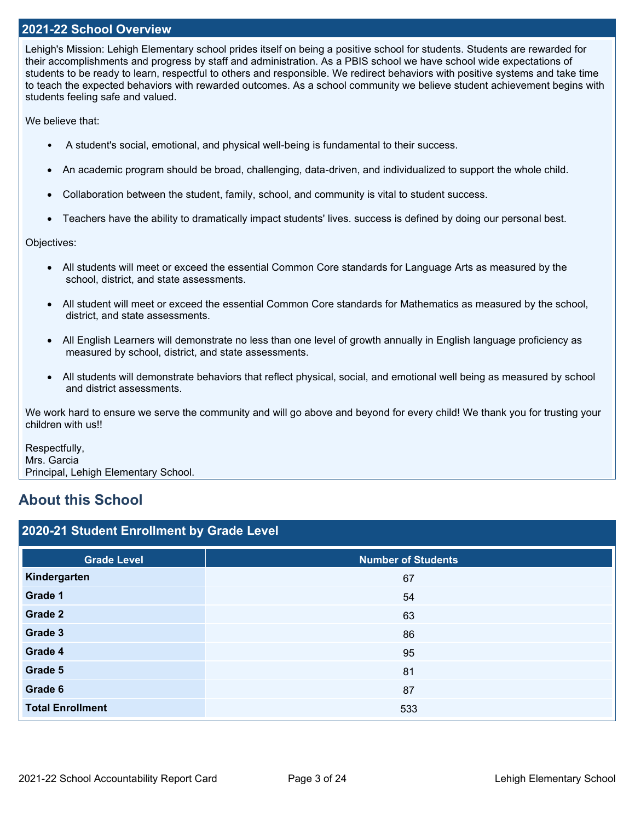### **2021-22 School Overview**

Lehigh's Mission: Lehigh Elementary school prides itself on being a positive school for students. Students are rewarded for their accomplishments and progress by staff and administration. As a PBIS school we have school wide expectations of students to be ready to learn, respectful to others and responsible. We redirect behaviors with positive systems and take time to teach the expected behaviors with rewarded outcomes. As a school community we believe student achievement begins with students feeling safe and valued.

We believe that:

- A student's social, emotional, and physical well-being is fundamental to their success.
- An academic program should be broad, challenging, data-driven, and individualized to support the whole child.
- Collaboration between the student, family, school, and community is vital to student success.
- Teachers have the ability to dramatically impact students' lives. success is defined by doing our personal best.

Objectives:

- All students will meet or exceed the essential Common Core standards for Language Arts as measured by the school, district, and state assessments.
- All student will meet or exceed the essential Common Core standards for Mathematics as measured by the school, district, and state assessments.
- All English Learners will demonstrate no less than one level of growth annually in English language proficiency as measured by school, district, and state assessments.
- All students will demonstrate behaviors that reflect physical, social, and emotional well being as measured by school and district assessments.

We work hard to ensure we serve the community and will go above and beyond for every child! We thank you for trusting your children with us!!

Respectfully, Mrs. Garcia Principal, Lehigh Elementary School.

## **About this School**

| 2020-21 Student Enrollment by Grade Level |                           |  |  |  |  |
|-------------------------------------------|---------------------------|--|--|--|--|
| <b>Grade Level</b>                        | <b>Number of Students</b> |  |  |  |  |
| Kindergarten                              | 67                        |  |  |  |  |
| Grade 1                                   | 54                        |  |  |  |  |
| Grade 2                                   | 63                        |  |  |  |  |
| Grade 3                                   | 86                        |  |  |  |  |
| Grade 4                                   | 95                        |  |  |  |  |
| Grade 5                                   | 81                        |  |  |  |  |
| Grade 6                                   | 87                        |  |  |  |  |
| <b>Total Enrollment</b>                   | 533                       |  |  |  |  |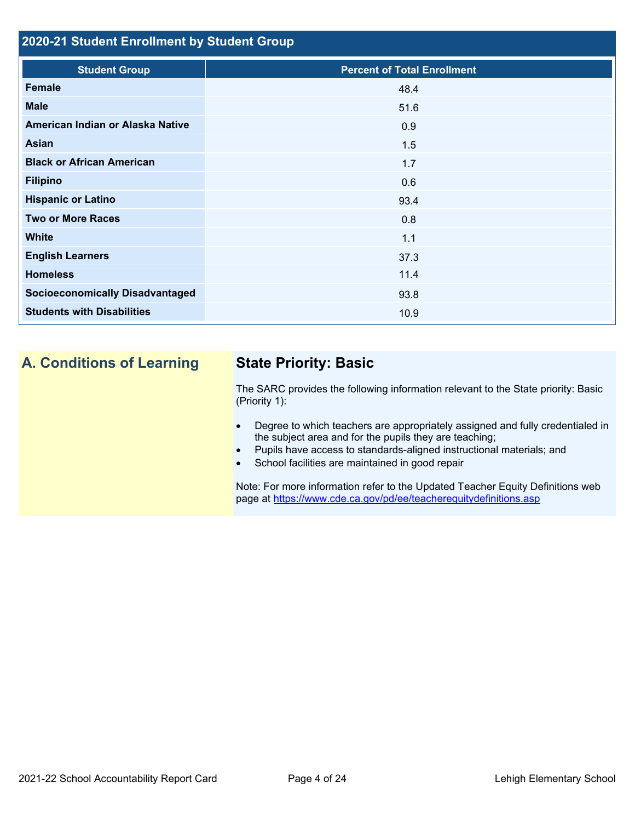## **2020-21 Student Enrollment by Student Group**

| <b>Student Group</b>                   | <b>Percent of Total Enrollment</b> |
|----------------------------------------|------------------------------------|
| Female                                 | 48.4                               |
| <b>Male</b>                            | 51.6                               |
| American Indian or Alaska Native       | 0.9                                |
| Asian                                  | 1.5                                |
| <b>Black or African American</b>       | 1.7                                |
| <b>Filipino</b>                        | 0.6                                |
| <b>Hispanic or Latino</b>              | 93.4                               |
| <b>Two or More Races</b>               | 0.8                                |
| <b>White</b>                           | 1.1                                |
| <b>English Learners</b>                | 37.3                               |
| <b>Homeless</b>                        | 11.4                               |
| <b>Socioeconomically Disadvantaged</b> | 93.8                               |
| <b>Students with Disabilities</b>      | 10.9                               |

## **A. Conditions of Learning State Priority: Basic**

The SARC provides the following information relevant to the State priority: Basic (Priority 1):

- Degree to which teachers are appropriately assigned and fully credentialed in the subject area and for the pupils they are teaching;
- Pupils have access to standards-aligned instructional materials; and
- School facilities are maintained in good repair

Note: For more information refer to the Updated Teacher Equity Definitions web page at<https://www.cde.ca.gov/pd/ee/teacherequitydefinitions.asp>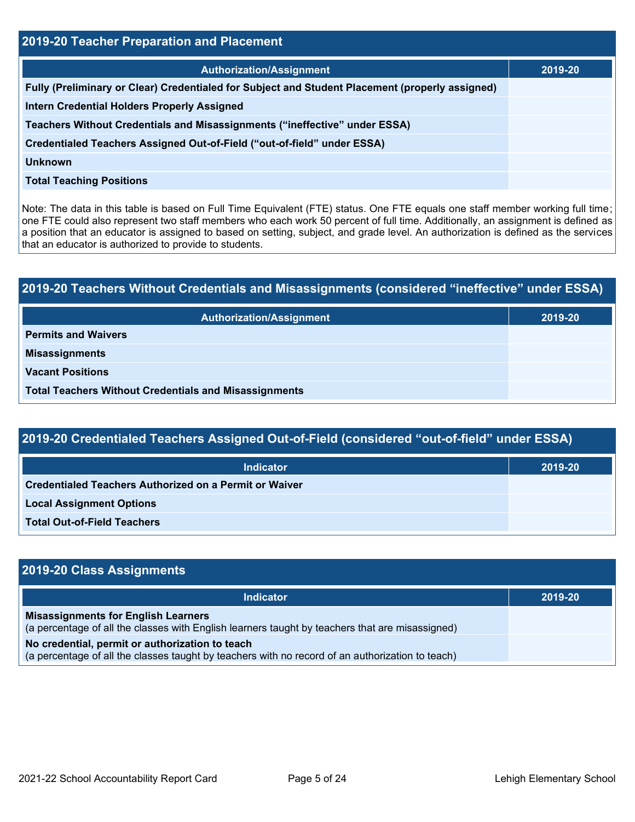| <b>2019-20 Teacher Preparation and Placement</b>                                                |         |  |  |  |  |
|-------------------------------------------------------------------------------------------------|---------|--|--|--|--|
| <b>Authorization/Assignment</b>                                                                 | 2019-20 |  |  |  |  |
| Fully (Preliminary or Clear) Credentialed for Subject and Student Placement (properly assigned) |         |  |  |  |  |
| <b>Intern Credential Holders Properly Assigned</b>                                              |         |  |  |  |  |
| Teachers Without Credentials and Misassignments ("ineffective" under ESSA)                      |         |  |  |  |  |
| Credentialed Teachers Assigned Out-of-Field ("out-of-field" under ESSA)                         |         |  |  |  |  |
| <b>Unknown</b>                                                                                  |         |  |  |  |  |
| <b>Total Teaching Positions</b>                                                                 |         |  |  |  |  |

Note: The data in this table is based on Full Time Equivalent (FTE) status. One FTE equals one staff member working full time; one FTE could also represent two staff members who each work 50 percent of full time. Additionally, an assignment is defined as a position that an educator is assigned to based on setting, subject, and grade level. An authorization is defined as the services that an educator is authorized to provide to students.

# **2019-20 Teachers Without Credentials and Misassignments (considered "ineffective" under ESSA) Authorization/Assignment 2019-20 Permits and Waivers Misassignments Vacant Positions Total Teachers Without Credentials and Misassignments**

| 2019-20 Credentialed Teachers Assigned Out-of-Field (considered "out-of-field" under ESSA) |         |  |  |  |  |
|--------------------------------------------------------------------------------------------|---------|--|--|--|--|
| <b>Indicator</b>                                                                           | 2019-20 |  |  |  |  |
| Credentialed Teachers Authorized on a Permit or Waiver                                     |         |  |  |  |  |
| <b>Local Assignment Options</b>                                                            |         |  |  |  |  |
| <b>Total Out-of-Field Teachers</b>                                                         |         |  |  |  |  |

| 2019-20 Class Assignments                                                                                                                           |         |
|-----------------------------------------------------------------------------------------------------------------------------------------------------|---------|
| <b>Indicator</b>                                                                                                                                    | 2019-20 |
| <b>Misassignments for English Learners</b><br>(a percentage of all the classes with English learners taught by teachers that are misassigned)       |         |
| No credential, permit or authorization to teach<br>(a percentage of all the classes taught by teachers with no record of an authorization to teach) |         |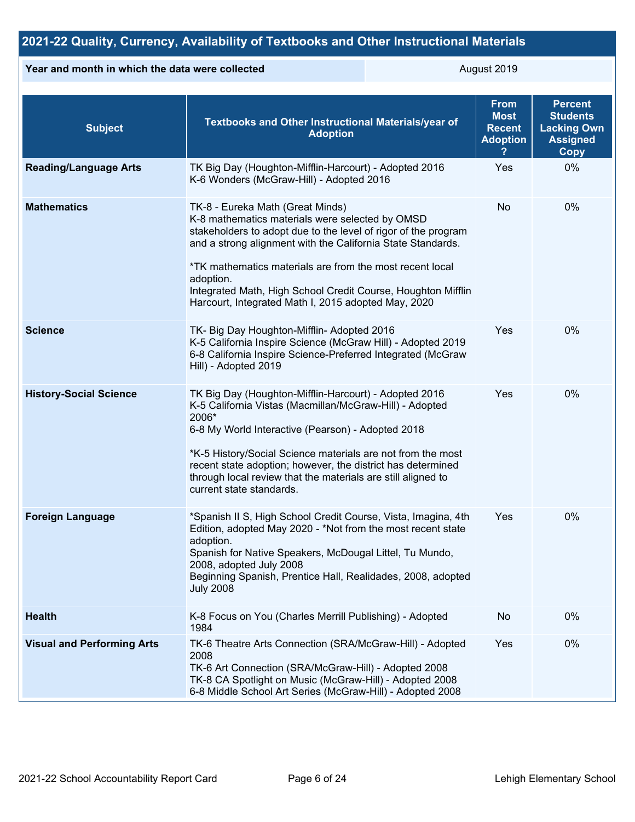## **2021-22 Quality, Currency, Availability of Textbooks and Other Instructional Materials**

### **Year and month in which the data were collected** August 2019

| <b>Subject</b>                    | Textbooks and Other Instructional Materials/year of<br><b>Adoption</b>                                                                                                                                                                                                                                                                                                                                               | <b>From</b><br><b>Most</b><br><b>Recent</b><br><b>Adoption</b> | <b>Percent</b><br><b>Students</b><br><b>Lacking Own</b><br><b>Assigned</b><br><b>Copy</b> |
|-----------------------------------|----------------------------------------------------------------------------------------------------------------------------------------------------------------------------------------------------------------------------------------------------------------------------------------------------------------------------------------------------------------------------------------------------------------------|----------------------------------------------------------------|-------------------------------------------------------------------------------------------|
| <b>Reading/Language Arts</b>      | TK Big Day (Houghton-Mifflin-Harcourt) - Adopted 2016<br>K-6 Wonders (McGraw-Hill) - Adopted 2016                                                                                                                                                                                                                                                                                                                    | Yes                                                            | 0%                                                                                        |
| <b>Mathematics</b>                | TK-8 - Eureka Math (Great Minds)<br>K-8 mathematics materials were selected by OMSD<br>stakeholders to adopt due to the level of rigor of the program<br>and a strong alignment with the California State Standards.<br>*TK mathematics materials are from the most recent local<br>adoption.<br>Integrated Math, High School Credit Course, Houghton Mifflin<br>Harcourt, Integrated Math I, 2015 adopted May, 2020 | No                                                             | 0%                                                                                        |
| <b>Science</b>                    | TK- Big Day Houghton-Mifflin- Adopted 2016<br>K-5 California Inspire Science (McGraw Hill) - Adopted 2019<br>6-8 California Inspire Science-Preferred Integrated (McGraw<br>Hill) - Adopted 2019                                                                                                                                                                                                                     | Yes                                                            | 0%                                                                                        |
| <b>History-Social Science</b>     | TK Big Day (Houghton-Mifflin-Harcourt) - Adopted 2016<br>K-5 California Vistas (Macmillan/McGraw-Hill) - Adopted<br>2006*<br>6-8 My World Interactive (Pearson) - Adopted 2018<br>*K-5 History/Social Science materials are not from the most<br>recent state adoption; however, the district has determined<br>through local review that the materials are still aligned to<br>current state standards.             | Yes                                                            | 0%                                                                                        |
| <b>Foreign Language</b>           | *Spanish II S, High School Credit Course, Vista, Imagina, 4th<br>Edition, adopted May 2020 - *Not from the most recent state<br>adoption.<br>Spanish for Native Speakers, McDougal Littel, Tu Mundo,<br>2008, adopted July 2008<br>Beginning Spanish, Prentice Hall, Realidades, 2008, adopted<br><b>July 2008</b>                                                                                                   | Yes                                                            | 0%                                                                                        |
| <b>Health</b>                     | K-8 Focus on You (Charles Merrill Publishing) - Adopted<br>1984                                                                                                                                                                                                                                                                                                                                                      | No                                                             | 0%                                                                                        |
| <b>Visual and Performing Arts</b> | TK-6 Theatre Arts Connection (SRA/McGraw-Hill) - Adopted<br>2008<br>TK-6 Art Connection (SRA/McGraw-Hill) - Adopted 2008<br>TK-8 CA Spotlight on Music (McGraw-Hill) - Adopted 2008<br>6-8 Middle School Art Series (McGraw-Hill) - Adopted 2008                                                                                                                                                                     | Yes                                                            | 0%                                                                                        |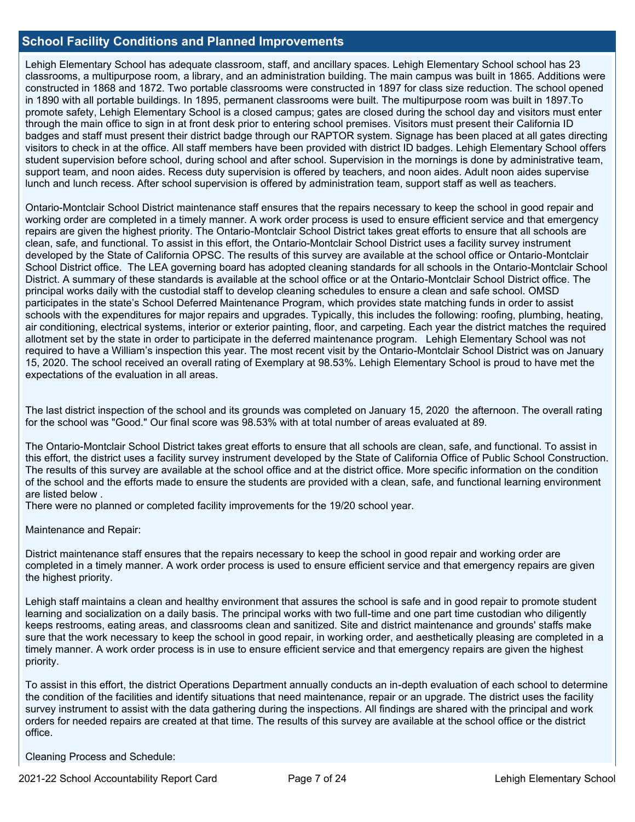### **School Facility Conditions and Planned Improvements**

Lehigh Elementary School has adequate classroom, staff, and ancillary spaces. Lehigh Elementary School school has 23 classrooms, a multipurpose room, a library, and an administration building. The main campus was built in 1865. Additions were constructed in 1868 and 1872. Two portable classrooms were constructed in 1897 for class size reduction. The school opened in 1890 with all portable buildings. In 1895, permanent classrooms were built. The multipurpose room was built in 1897.To promote safety, Lehigh Elementary School is a closed campus; gates are closed during the school day and visitors must enter through the main office to sign in at front desk prior to entering school premises. Visitors must present their California ID badges and staff must present their district badge through our RAPTOR system. Signage has been placed at all gates directing visitors to check in at the office. All staff members have been provided with district ID badges. Lehigh Elementary School offers student supervision before school, during school and after school. Supervision in the mornings is done by administrative team, support team, and noon aides. Recess duty supervision is offered by teachers, and noon aides. Adult noon aides supervise lunch and lunch recess. After school supervision is offered by administration team, support staff as well as teachers.

Ontario-Montclair School District maintenance staff ensures that the repairs necessary to keep the school in good repair and working order are completed in a timely manner. A work order process is used to ensure efficient service and that emergency repairs are given the highest priority. The Ontario-Montclair School District takes great efforts to ensure that all schools are clean, safe, and functional. To assist in this effort, the Ontario-Montclair School District uses a facility survey instrument developed by the State of California OPSC. The results of this survey are available at the school office or Ontario-Montclair School District office. The LEA governing board has adopted cleaning standards for all schools in the Ontario-Montclair School District. A summary of these standards is available at the school office or at the Ontario-Montclair School District office. The principal works daily with the custodial staff to develop cleaning schedules to ensure a clean and safe school. OMSD participates in the state's School Deferred Maintenance Program, which provides state matching funds in order to assist schools with the expenditures for major repairs and upgrades. Typically, this includes the following: roofing, plumbing, heating, air conditioning, electrical systems, interior or exterior painting, floor, and carpeting. Each year the district matches the required allotment set by the state in order to participate in the deferred maintenance program. Lehigh Elementary School was not required to have a William's inspection this year. The most recent visit by the Ontario-Montclair School District was on January 15, 2020. The school received an overall rating of Exemplary at 98.53%. Lehigh Elementary School is proud to have met the expectations of the evaluation in all areas.

The last district inspection of the school and its grounds was completed on January 15, 2020 the afternoon. The overall rating for the school was "Good." Our final score was 98.53% with at total number of areas evaluated at 89.

The Ontario-Montclair School District takes great efforts to ensure that all schools are clean, safe, and functional. To assist in this effort, the district uses a facility survey instrument developed by the State of California Office of Public School Construction. The results of this survey are available at the school office and at the district office. More specific information on the condition of the school and the efforts made to ensure the students are provided with a clean, safe, and functional learning environment are listed below .

There were no planned or completed facility improvements for the 19/20 school year.

Maintenance and Repair:

District maintenance staff ensures that the repairs necessary to keep the school in good repair and working order are completed in a timely manner. A work order process is used to ensure efficient service and that emergency repairs are given the highest priority.

Lehigh staff maintains a clean and healthy environment that assures the school is safe and in good repair to promote student learning and socialization on a daily basis. The principal works with two full-time and one part time custodian who diligently keeps restrooms, eating areas, and classrooms clean and sanitized. Site and district maintenance and grounds' staffs make sure that the work necessary to keep the school in good repair, in working order, and aesthetically pleasing are completed in a timely manner. A work order process is in use to ensure efficient service and that emergency repairs are given the highest priority.

To assist in this effort, the district Operations Department annually conducts an in-depth evaluation of each school to determine the condition of the facilities and identify situations that need maintenance, repair or an upgrade. The district uses the facility survey instrument to assist with the data gathering during the inspections. All findings are shared with the principal and work orders for needed repairs are created at that time. The results of this survey are available at the school office or the district office.

Cleaning Process and Schedule: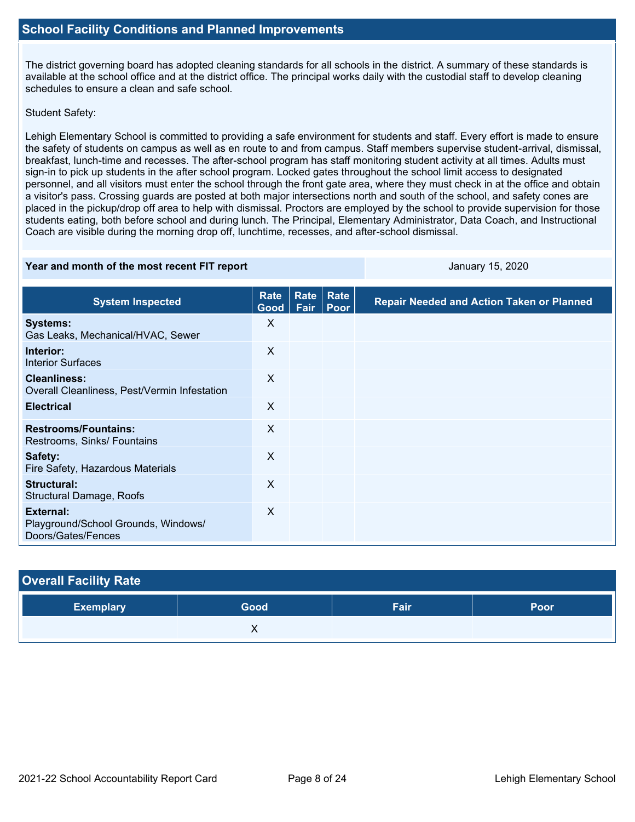The district governing board has adopted cleaning standards for all schools in the district. A summary of these standards is available at the school office and at the district office. The principal works daily with the custodial staff to develop cleaning schedules to ensure a clean and safe school.

### Student Safety:

Lehigh Elementary School is committed to providing a safe environment for students and staff. Every effort is made to ensure the safety of students on campus as well as en route to and from campus. Staff members supervise student-arrival, dismissal, breakfast, lunch-time and recesses. The after-school program has staff monitoring student activity at all times. Adults must sign-in to pick up students in the after school program. Locked gates throughout the school limit access to designated personnel, and all visitors must enter the school through the front gate area, where they must check in at the office and obtain a visitor's pass. Crossing guards are posted at both major intersections north and south of the school, and safety cones are placed in the pickup/drop off area to help with dismissal. Proctors are employed by the school to provide supervision for those students eating, both before school and during lunch. The Principal, Elementary Administrator, Data Coach, and Instructional Coach are visible during the morning drop off, lunchtime, recesses, and after-school dismissal.

### **Year and month of the most recent FIT report CONSUMPERIES AND ALL SET AND A LIGARY 15, 2020**

| <b>System Inspected</b>                                                | Rate<br>Good | Rate<br>Fair | Rate<br>Poor | <b>Repair Needed and Action Taken or Planned</b> |
|------------------------------------------------------------------------|--------------|--------------|--------------|--------------------------------------------------|
| <b>Systems:</b><br>Gas Leaks, Mechanical/HVAC, Sewer                   | X            |              |              |                                                  |
| Interior:<br><b>Interior Surfaces</b>                                  | X            |              |              |                                                  |
| <b>Cleanliness:</b><br>Overall Cleanliness, Pest/Vermin Infestation    | X            |              |              |                                                  |
| <b>Electrical</b>                                                      | $\sf X$      |              |              |                                                  |
| <b>Restrooms/Fountains:</b><br>Restrooms, Sinks/ Fountains             | X            |              |              |                                                  |
| Safety:<br>Fire Safety, Hazardous Materials                            | X            |              |              |                                                  |
| Structural:<br>Structural Damage, Roofs                                | X            |              |              |                                                  |
| External:<br>Playground/School Grounds, Windows/<br>Doors/Gates/Fences | $\sf X$      |              |              |                                                  |

| <b>Overall Facility Rate</b> |      |      |      |
|------------------------------|------|------|------|
| <b>Exemplary</b>             | Good | Fair | Poor |
|                              |      |      |      |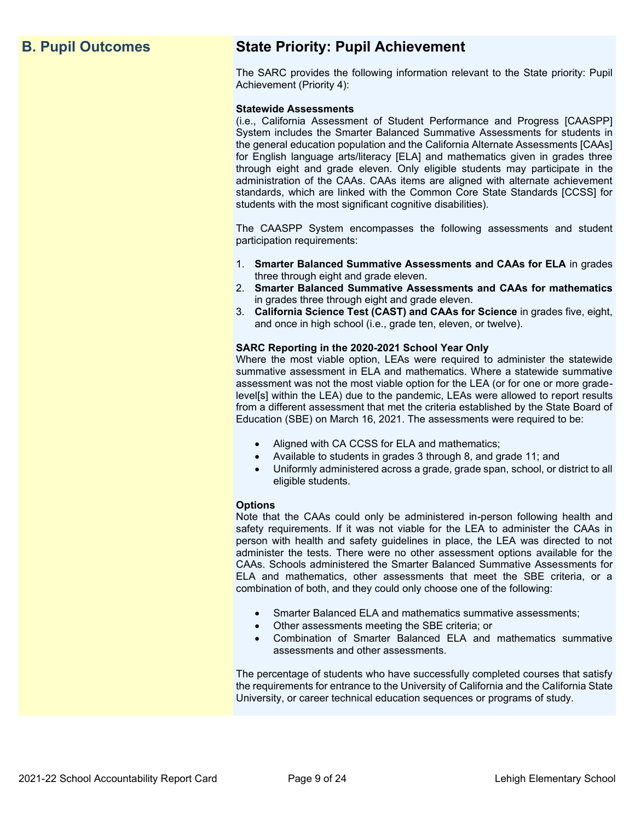## **B. Pupil Outcomes State Priority: Pupil Achievement**

The SARC provides the following information relevant to the State priority: Pupil Achievement (Priority 4):

### **Statewide Assessments**

(i.e., California Assessment of Student Performance and Progress [CAASPP] System includes the Smarter Balanced Summative Assessments for students in the general education population and the California Alternate Assessments [CAAs] for English language arts/literacy [ELA] and mathematics given in grades three through eight and grade eleven. Only eligible students may participate in the administration of the CAAs. CAAs items are aligned with alternate achievement standards, which are linked with the Common Core State Standards [CCSS] for students with the most significant cognitive disabilities).

The CAASPP System encompasses the following assessments and student participation requirements:

- 1. **Smarter Balanced Summative Assessments and CAAs for ELA** in grades three through eight and grade eleven.
- 2. **Smarter Balanced Summative Assessments and CAAs for mathematics** in grades three through eight and grade eleven.
- 3. **California Science Test (CAST) and CAAs for Science** in grades five, eight, and once in high school (i.e., grade ten, eleven, or twelve).

### **SARC Reporting in the 2020-2021 School Year Only**

Where the most viable option, LEAs were required to administer the statewide summative assessment in ELA and mathematics. Where a statewide summative assessment was not the most viable option for the LEA (or for one or more gradelevel[s] within the LEA) due to the pandemic, LEAs were allowed to report results from a different assessment that met the criteria established by the State Board of Education (SBE) on March 16, 2021. The assessments were required to be:

- Aligned with CA CCSS for ELA and mathematics;
- Available to students in grades 3 through 8, and grade 11; and
- Uniformly administered across a grade, grade span, school, or district to all eligible students.

### **Options**

Note that the CAAs could only be administered in-person following health and safety requirements. If it was not viable for the LEA to administer the CAAs in person with health and safety guidelines in place, the LEA was directed to not administer the tests. There were no other assessment options available for the CAAs. Schools administered the Smarter Balanced Summative Assessments for ELA and mathematics, other assessments that meet the SBE criteria, or a combination of both, and they could only choose one of the following:

- Smarter Balanced ELA and mathematics summative assessments;
- Other assessments meeting the SBE criteria; or
- Combination of Smarter Balanced ELA and mathematics summative assessments and other assessments.

The percentage of students who have successfully completed courses that satisfy the requirements for entrance to the University of California and the California State University, or career technical education sequences or programs of study.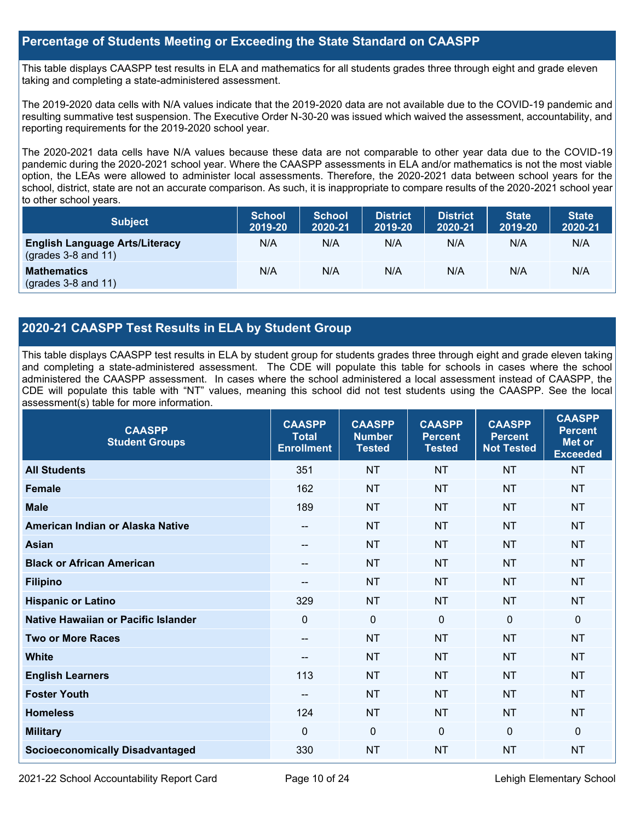## **Percentage of Students Meeting or Exceeding the State Standard on CAASPP**

This table displays CAASPP test results in ELA and mathematics for all students grades three through eight and grade eleven taking and completing a state-administered assessment.

The 2019-2020 data cells with N/A values indicate that the 2019-2020 data are not available due to the COVID-19 pandemic and resulting summative test suspension. The Executive Order N-30-20 was issued which waived the assessment, accountability, and reporting requirements for the 2019-2020 school year.

The 2020-2021 data cells have N/A values because these data are not comparable to other year data due to the COVID-19 pandemic during the 2020-2021 school year. Where the CAASPP assessments in ELA and/or mathematics is not the most viable option, the LEAs were allowed to administer local assessments. Therefore, the 2020-2021 data between school years for the school, district, state are not an accurate comparison. As such, it is inappropriate to compare results of the 2020-2021 school year to other school years.

| <b>Subject</b>                                                       | <b>School</b><br>2019-20 | <b>School</b><br>2020-21 | <b>District</b><br>2019-20 | <b>District</b><br>2020-21 | <b>State</b><br>2019-20 | <b>State</b><br>2020-21 |
|----------------------------------------------------------------------|--------------------------|--------------------------|----------------------------|----------------------------|-------------------------|-------------------------|
| <b>English Language Arts/Literacy</b><br>$\left($ grades 3-8 and 11) | N/A                      | N/A                      | N/A                        | N/A                        | N/A                     | N/A                     |
| <b>Mathematics</b><br>$(grades 3-8 and 11)$                          | N/A                      | N/A                      | N/A                        | N/A                        | N/A                     | N/A                     |

## **2020-21 CAASPP Test Results in ELA by Student Group**

This table displays CAASPP test results in ELA by student group for students grades three through eight and grade eleven taking and completing a state-administered assessment. The CDE will populate this table for schools in cases where the school administered the CAASPP assessment. In cases where the school administered a local assessment instead of CAASPP, the CDE will populate this table with "NT" values, meaning this school did not test students using the CAASPP. See the local assessment(s) table for more information.

| <b>CAASPP</b><br><b>Student Groups</b> | <b>CAASPP</b><br><b>Total</b><br><b>Enrollment</b> | <b>CAASPP</b><br><b>Number</b><br><b>Tested</b> | <b>CAASPP</b><br><b>Percent</b><br><b>Tested</b> | <b>CAASPP</b><br><b>Percent</b><br><b>Not Tested</b> | <b>CAASPP</b><br><b>Percent</b><br>Met or<br><b>Exceeded</b> |
|----------------------------------------|----------------------------------------------------|-------------------------------------------------|--------------------------------------------------|------------------------------------------------------|--------------------------------------------------------------|
| <b>All Students</b>                    | 351                                                | <b>NT</b>                                       | <b>NT</b>                                        | <b>NT</b>                                            | <b>NT</b>                                                    |
| <b>Female</b>                          | 162                                                | <b>NT</b>                                       | <b>NT</b>                                        | <b>NT</b>                                            | <b>NT</b>                                                    |
| <b>Male</b>                            | 189                                                | <b>NT</b>                                       | <b>NT</b>                                        | <b>NT</b>                                            | <b>NT</b>                                                    |
| American Indian or Alaska Native       | --                                                 | <b>NT</b>                                       | <b>NT</b>                                        | <b>NT</b>                                            | <b>NT</b>                                                    |
| <b>Asian</b>                           | --                                                 | <b>NT</b>                                       | <b>NT</b>                                        | <b>NT</b>                                            | <b>NT</b>                                                    |
| <b>Black or African American</b>       | $- -$                                              | <b>NT</b>                                       | <b>NT</b>                                        | <b>NT</b>                                            | <b>NT</b>                                                    |
| <b>Filipino</b>                        | --                                                 | <b>NT</b>                                       | <b>NT</b>                                        | <b>NT</b>                                            | <b>NT</b>                                                    |
| <b>Hispanic or Latino</b>              | 329                                                | <b>NT</b>                                       | <b>NT</b>                                        | <b>NT</b>                                            | <b>NT</b>                                                    |
| Native Hawaiian or Pacific Islander    | $\mathbf 0$                                        | $\mathbf 0$                                     | $\mathbf{0}$                                     | $\mathbf 0$                                          | 0                                                            |
| <b>Two or More Races</b>               | --                                                 | <b>NT</b>                                       | <b>NT</b>                                        | <b>NT</b>                                            | <b>NT</b>                                                    |
| <b>White</b>                           | $- -$                                              | <b>NT</b>                                       | <b>NT</b>                                        | <b>NT</b>                                            | <b>NT</b>                                                    |
| <b>English Learners</b>                | 113                                                | <b>NT</b>                                       | <b>NT</b>                                        | <b>NT</b>                                            | <b>NT</b>                                                    |
| <b>Foster Youth</b>                    | $\qquad \qquad -$                                  | <b>NT</b>                                       | <b>NT</b>                                        | <b>NT</b>                                            | <b>NT</b>                                                    |
| <b>Homeless</b>                        | 124                                                | <b>NT</b>                                       | <b>NT</b>                                        | <b>NT</b>                                            | <b>NT</b>                                                    |
| <b>Military</b>                        | $\Omega$                                           | $\mathbf 0$                                     | $\mathbf 0$                                      | $\mathbf 0$                                          | 0                                                            |
| <b>Socioeconomically Disadvantaged</b> | 330                                                | <b>NT</b>                                       | <b>NT</b>                                        | <b>NT</b>                                            | <b>NT</b>                                                    |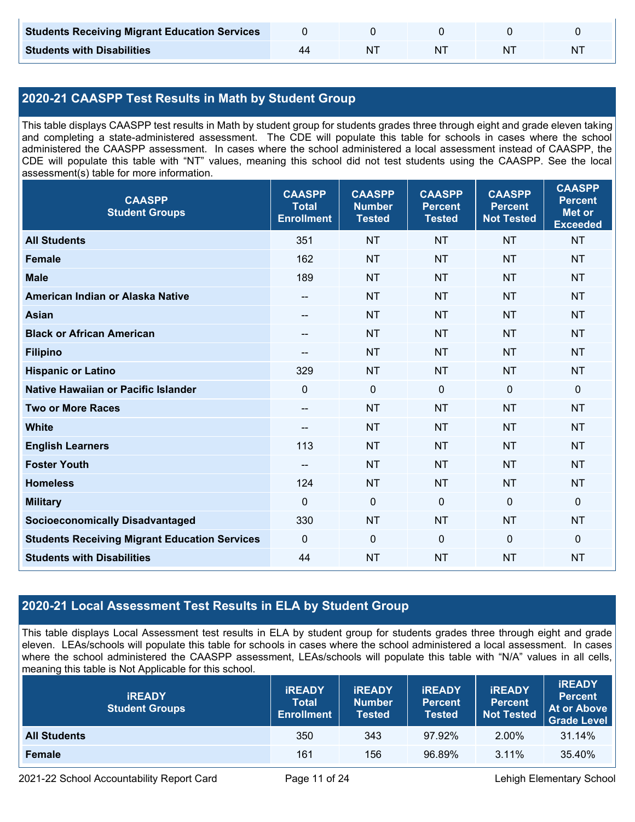| <b>Students Receiving Migrant Education Services</b> |  |    |   |
|------------------------------------------------------|--|----|---|
| <b>Students with Disabilities</b>                    |  | ΝI | N |

## **2020-21 CAASPP Test Results in Math by Student Group**

This table displays CAASPP test results in Math by student group for students grades three through eight and grade eleven taking and completing a state-administered assessment. The CDE will populate this table for schools in cases where the school administered the CAASPP assessment. In cases where the school administered a local assessment instead of CAASPP, the CDE will populate this table with "NT" values, meaning this school did not test students using the CAASPP. See the local assessment(s) table for more information.

| <b>CAASPP</b><br><b>Student Groups</b>               | <b>CAASPP</b><br><b>Total</b><br><b>Enrollment</b> | <b>CAASPP</b><br><b>Number</b><br><b>Tested</b> | <b>CAASPP</b><br><b>Percent</b><br><b>Tested</b> | <b>CAASPP</b><br><b>Percent</b><br><b>Not Tested</b> | <b>CAASPP</b><br><b>Percent</b><br><b>Met or</b><br><b>Exceeded</b> |
|------------------------------------------------------|----------------------------------------------------|-------------------------------------------------|--------------------------------------------------|------------------------------------------------------|---------------------------------------------------------------------|
| <b>All Students</b>                                  | 351                                                | <b>NT</b>                                       | <b>NT</b>                                        | <b>NT</b>                                            | <b>NT</b>                                                           |
| <b>Female</b>                                        | 162                                                | <b>NT</b>                                       | <b>NT</b>                                        | <b>NT</b>                                            | <b>NT</b>                                                           |
| <b>Male</b>                                          | 189                                                | <b>NT</b>                                       | <b>NT</b>                                        | <b>NT</b>                                            | <b>NT</b>                                                           |
| American Indian or Alaska Native                     | --                                                 | <b>NT</b>                                       | <b>NT</b>                                        | <b>NT</b>                                            | <b>NT</b>                                                           |
| <b>Asian</b>                                         | --                                                 | <b>NT</b>                                       | <b>NT</b>                                        | <b>NT</b>                                            | <b>NT</b>                                                           |
| <b>Black or African American</b>                     | $\hspace{0.05cm}$ – $\hspace{0.05cm}$              | <b>NT</b>                                       | <b>NT</b>                                        | <b>NT</b>                                            | <b>NT</b>                                                           |
| <b>Filipino</b>                                      | --                                                 | <b>NT</b>                                       | <b>NT</b>                                        | <b>NT</b>                                            | <b>NT</b>                                                           |
| <b>Hispanic or Latino</b>                            | 329                                                | <b>NT</b>                                       | <b>NT</b>                                        | <b>NT</b>                                            | <b>NT</b>                                                           |
| <b>Native Hawaiian or Pacific Islander</b>           | $\mathbf{0}$                                       | $\mathbf 0$                                     | $\mathbf 0$                                      | $\mathbf 0$                                          | $\mathbf 0$                                                         |
| <b>Two or More Races</b>                             | $\overline{\phantom{a}}$                           | <b>NT</b>                                       | <b>NT</b>                                        | <b>NT</b>                                            | <b>NT</b>                                                           |
| <b>White</b>                                         | $\hspace{0.05cm}$ – $\hspace{0.05cm}$              | <b>NT</b>                                       | <b>NT</b>                                        | <b>NT</b>                                            | <b>NT</b>                                                           |
| <b>English Learners</b>                              | 113                                                | <b>NT</b>                                       | <b>NT</b>                                        | <b>NT</b>                                            | <b>NT</b>                                                           |
| <b>Foster Youth</b>                                  | $\overline{\phantom{a}}$                           | <b>NT</b>                                       | <b>NT</b>                                        | <b>NT</b>                                            | <b>NT</b>                                                           |
| <b>Homeless</b>                                      | 124                                                | <b>NT</b>                                       | <b>NT</b>                                        | <b>NT</b>                                            | <b>NT</b>                                                           |
| <b>Military</b>                                      | $\mathbf{0}$                                       | $\mathbf 0$                                     | $\mathbf 0$                                      | $\mathbf 0$                                          | $\mathbf 0$                                                         |
| <b>Socioeconomically Disadvantaged</b>               | 330                                                | <b>NT</b>                                       | <b>NT</b>                                        | <b>NT</b>                                            | <b>NT</b>                                                           |
| <b>Students Receiving Migrant Education Services</b> | $\mathbf 0$                                        | $\mathbf 0$                                     | $\mathbf 0$                                      | $\mathbf 0$                                          | $\mathbf 0$                                                         |
| <b>Students with Disabilities</b>                    | 44                                                 | <b>NT</b>                                       | <b>NT</b>                                        | <b>NT</b>                                            | <b>NT</b>                                                           |

## **2020-21 Local Assessment Test Results in ELA by Student Group**

This table displays Local Assessment test results in ELA by student group for students grades three through eight and grade eleven. LEAs/schools will populate this table for schools in cases where the school administered a local assessment. In cases where the school administered the CAASPP assessment, LEAs/schools will populate this table with "N/A" values in all cells, meaning this table is Not Applicable for this school.

| <b>IREADY</b><br><b>Student Groups</b> | <b>IREADY</b><br><b>Total</b><br><b>Enrollment</b> | <b>IREADY</b><br><b>Number</b><br><b>Tested</b> | <b><i>IREADY</i></b><br><b>Percent</b><br><b>Tested</b> | <b>IREADY</b><br><b>Percent</b><br><b>Not Tested</b> | <b>IREADY</b><br><b>Percent</b><br><b>At or Above</b><br><b>Grade Level</b> |
|----------------------------------------|----------------------------------------------------|-------------------------------------------------|---------------------------------------------------------|------------------------------------------------------|-----------------------------------------------------------------------------|
| <b>All Students</b>                    | 350                                                | 343                                             | 97.92%                                                  | 2.00%                                                | 31.14%                                                                      |
| Female                                 | 161                                                | 156                                             | 96.89%                                                  | $3.11\%$                                             | 35.40%                                                                      |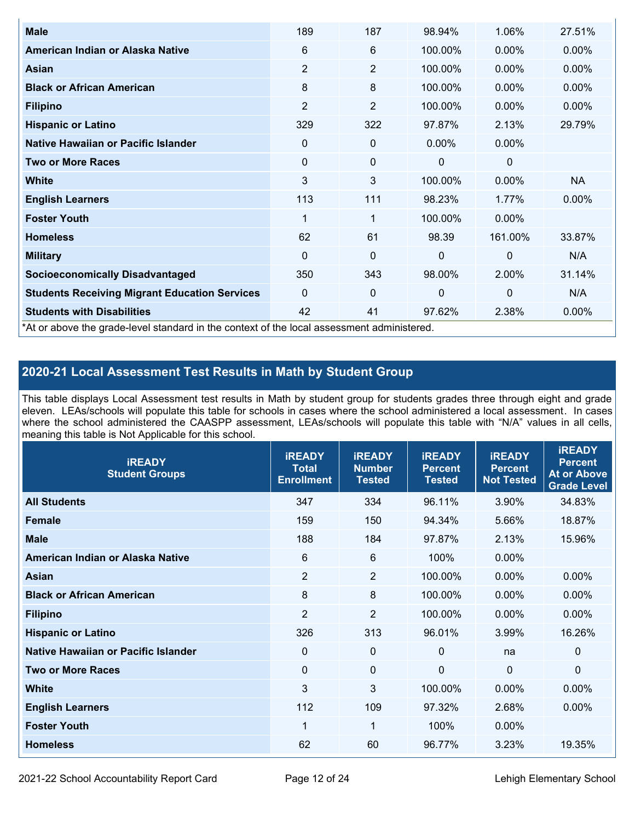| <b>Male</b>                                                                                | 189            | 187            | 98.94%       | 1.06%        | 27.51%    |
|--------------------------------------------------------------------------------------------|----------------|----------------|--------------|--------------|-----------|
| American Indian or Alaska Native                                                           | 6              | 6              | 100.00%      | $0.00\%$     | 0.00%     |
| Asian                                                                                      | 2              | $\overline{2}$ | 100.00%      | $0.00\%$     | $0.00\%$  |
| <b>Black or African American</b>                                                           | 8              | 8              | 100.00%      | $0.00\%$     | 0.00%     |
| <b>Filipino</b>                                                                            | $\overline{2}$ | 2              | 100.00%      | 0.00%        | 0.00%     |
| <b>Hispanic or Latino</b>                                                                  | 329            | 322            | 97.87%       | 2.13%        | 29.79%    |
| Native Hawaiian or Pacific Islander                                                        | 0              | 0              | $0.00\%$     | $0.00\%$     |           |
| <b>Two or More Races</b>                                                                   | 0              | 0              | 0            | 0            |           |
| <b>White</b>                                                                               | 3              | 3              | 100.00%      | 0.00%        | <b>NA</b> |
| <b>English Learners</b>                                                                    | 113            | 111            | 98.23%       | 1.77%        | $0.00\%$  |
| <b>Foster Youth</b>                                                                        | 1              | 1              | 100.00%      | $0.00\%$     |           |
| <b>Homeless</b>                                                                            | 62             | 61             | 98.39        | 161.00%      | 33.87%    |
| <b>Military</b>                                                                            | $\Omega$       | $\mathbf 0$    | $\mathbf{0}$ | $\mathbf{0}$ | N/A       |
| <b>Socioeconomically Disadvantaged</b>                                                     | 350            | 343            | 98.00%       | 2.00%        | 31.14%    |
| <b>Students Receiving Migrant Education Services</b>                                       | $\Omega$       | 0              | 0            | 0            | N/A       |
| <b>Students with Disabilities</b>                                                          | 42             | 41             | 97.62%       | 2.38%        | 0.00%     |
| *At or above the grade-level standard in the context of the local assessment administered. |                |                |              |              |           |

## **2020-21 Local Assessment Test Results in Math by Student Group**

This table displays Local Assessment test results in Math by student group for students grades three through eight and grade eleven. LEAs/schools will populate this table for schools in cases where the school administered a local assessment. In cases where the school administered the CAASPP assessment, LEAs/schools will populate this table with "N/A" values in all cells, meaning this table is Not Applicable for this school.

| <b>IREADY</b><br><b>Student Groups</b> | <b>IREADY</b><br><b>Total</b><br><b>Enrollment</b> | <b>IREADY</b><br><b>Number</b><br><b>Tested</b> | <b>iREADY</b><br><b>Percent</b><br><b>Tested</b> | <b>IREADY</b><br><b>Percent</b><br><b>Not Tested</b> | <b>IREADY</b><br><b>Percent</b><br><b>At or Above</b><br><b>Grade Level</b> |
|----------------------------------------|----------------------------------------------------|-------------------------------------------------|--------------------------------------------------|------------------------------------------------------|-----------------------------------------------------------------------------|
| <b>All Students</b>                    | 347                                                | 334                                             | 96.11%                                           | 3.90%                                                | 34.83%                                                                      |
| <b>Female</b>                          | 159                                                | 150                                             | 94.34%                                           | 5.66%                                                | 18.87%                                                                      |
| <b>Male</b>                            | 188                                                | 184                                             | 97.87%                                           | 2.13%                                                | 15.96%                                                                      |
| American Indian or Alaska Native       | 6                                                  | $6\phantom{1}6$                                 | 100%                                             | 0.00%                                                |                                                                             |
| Asian                                  | $\overline{2}$                                     | $\overline{2}$                                  | 100.00%                                          | 0.00%                                                | 0.00%                                                                       |
| <b>Black or African American</b>       | 8                                                  | 8                                               | 100.00%                                          | 0.00%                                                | 0.00%                                                                       |
| <b>Filipino</b>                        | $\overline{2}$                                     | $\overline{2}$                                  | 100.00%                                          | 0.00%                                                | $0.00\%$                                                                    |
| <b>Hispanic or Latino</b>              | 326                                                | 313                                             | 96.01%                                           | 3.99%                                                | 16.26%                                                                      |
| Native Hawaiian or Pacific Islander    | 0                                                  | $\mathbf 0$                                     | $\mathbf{0}$                                     | na                                                   | 0                                                                           |
| <b>Two or More Races</b>               | $\Omega$                                           | $\mathbf 0$                                     | $\Omega$                                         | $\mathbf 0$                                          | $\Omega$                                                                    |
| <b>White</b>                           | 3                                                  | 3                                               | 100.00%                                          | 0.00%                                                | $0.00\%$                                                                    |
| <b>English Learners</b>                | 112                                                | 109                                             | 97.32%                                           | 2.68%                                                | 0.00%                                                                       |
| <b>Foster Youth</b>                    | 1                                                  | 1                                               | 100%                                             | 0.00%                                                |                                                                             |
| <b>Homeless</b>                        | 62                                                 | 60                                              | 96.77%                                           | 3.23%                                                | 19.35%                                                                      |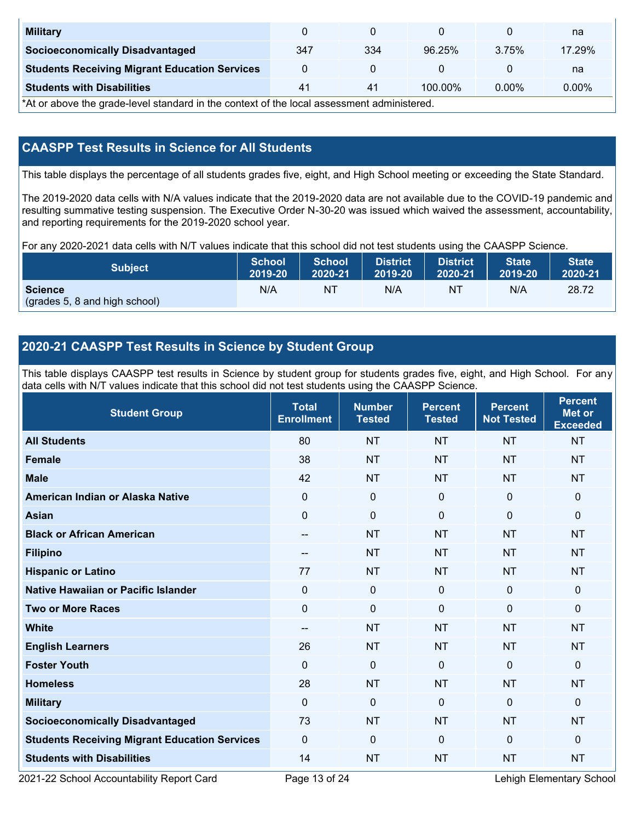| <b>Military</b>                                      |     |     |            |          | na       |
|------------------------------------------------------|-----|-----|------------|----------|----------|
| <b>Socioeconomically Disadvantaged</b>               | 347 | 334 | 96.25%     | 375%     | 17.29%   |
| <b>Students Receiving Migrant Education Services</b> |     |     |            |          | na       |
| <b>Students with Disabilities</b>                    | 41  | 41  | $100.00\%$ | $0.00\%$ | $0.00\%$ |

\*At or above the grade-level standard in the context of the local assessment administered.

## **CAASPP Test Results in Science for All Students**

This table displays the percentage of all students grades five, eight, and High School meeting or exceeding the State Standard.

The 2019-2020 data cells with N/A values indicate that the 2019-2020 data are not available due to the COVID-19 pandemic and resulting summative testing suspension. The Executive Order N-30-20 was issued which waived the assessment, accountability, and reporting requirements for the 2019-2020 school year.

For any 2020-2021 data cells with N/T values indicate that this school did not test students using the CAASPP Science.

| <b>Subject</b>                                  | <b>School</b> | <b>School</b> | <b>District</b> | <b>District</b> | <b>State</b> | <b>State</b> |
|-------------------------------------------------|---------------|---------------|-----------------|-----------------|--------------|--------------|
|                                                 | 2019-20       | 2020-21       | 2019-20         | 2020-21         | 2019-20      | 2020-21      |
| <b>Science</b><br>(grades 5, 8 and high school) | N/A           | ΝT            | N/A             | N1              | N/A          | 28.72        |

## **2020-21 CAASPP Test Results in Science by Student Group**

This table displays CAASPP test results in Science by student group for students grades five, eight, and High School. For any data cells with N/T values indicate that this school did not test students using the CAASPP Science.

| <b>Student Group</b>                                 | <b>Total</b><br><b>Enrollment</b> | <b>Number</b><br><b>Tested</b> | <b>Percent</b><br><b>Tested</b> | <b>Percent</b><br><b>Not Tested</b> | <b>Percent</b><br>Met or<br><b>Exceeded</b> |
|------------------------------------------------------|-----------------------------------|--------------------------------|---------------------------------|-------------------------------------|---------------------------------------------|
| <b>All Students</b>                                  | 80                                | <b>NT</b>                      | <b>NT</b>                       | <b>NT</b>                           | <b>NT</b>                                   |
| <b>Female</b>                                        | 38                                | <b>NT</b>                      | <b>NT</b>                       | <b>NT</b>                           | <b>NT</b>                                   |
| <b>Male</b>                                          | 42                                | <b>NT</b>                      | <b>NT</b>                       | <b>NT</b>                           | <b>NT</b>                                   |
| American Indian or Alaska Native                     | $\mathbf 0$                       | $\mathbf 0$                    | $\mathbf 0$                     | $\mathbf 0$                         | 0                                           |
| <b>Asian</b>                                         | $\mathbf 0$                       | $\pmb{0}$                      | $\mathbf 0$                     | $\mathbf 0$                         | 0                                           |
| <b>Black or African American</b>                     | $- -$                             | <b>NT</b>                      | <b>NT</b>                       | <b>NT</b>                           | <b>NT</b>                                   |
| <b>Filipino</b>                                      | --                                | <b>NT</b>                      | <b>NT</b>                       | <b>NT</b>                           | <b>NT</b>                                   |
| <b>Hispanic or Latino</b>                            | 77                                | <b>NT</b>                      | <b>NT</b>                       | <b>NT</b>                           | <b>NT</b>                                   |
| <b>Native Hawaiian or Pacific Islander</b>           | $\mathbf{0}$                      | $\mathbf 0$                    | $\mathbf{0}$                    | $\mathbf{0}$                        | 0                                           |
| <b>Two or More Races</b>                             | $\Omega$                          | $\mathbf 0$                    | $\mathbf{0}$                    | $\mathbf{0}$                        | 0                                           |
| <b>White</b>                                         | $\qquad \qquad -$                 | <b>NT</b>                      | <b>NT</b>                       | <b>NT</b>                           | <b>NT</b>                                   |
| <b>English Learners</b>                              | 26                                | <b>NT</b>                      | <b>NT</b>                       | <b>NT</b>                           | <b>NT</b>                                   |
| <b>Foster Youth</b>                                  | $\mathbf 0$                       | $\mathbf 0$                    | $\mathbf 0$                     | $\mathbf 0$                         | 0                                           |
| <b>Homeless</b>                                      | 28                                | <b>NT</b>                      | <b>NT</b>                       | <b>NT</b>                           | <b>NT</b>                                   |
| <b>Military</b>                                      | $\mathbf 0$                       | $\mathbf 0$                    | $\mathbf 0$                     | $\mathbf 0$                         | 0                                           |
| <b>Socioeconomically Disadvantaged</b>               | 73                                | <b>NT</b>                      | <b>NT</b>                       | <b>NT</b>                           | <b>NT</b>                                   |
| <b>Students Receiving Migrant Education Services</b> | $\mathbf{0}$                      | $\mathbf 0$                    | $\mathbf 0$                     | $\mathbf{0}$                        | 0                                           |
| <b>Students with Disabilities</b>                    | 14                                | <b>NT</b>                      | <b>NT</b>                       | <b>NT</b>                           | <b>NT</b>                                   |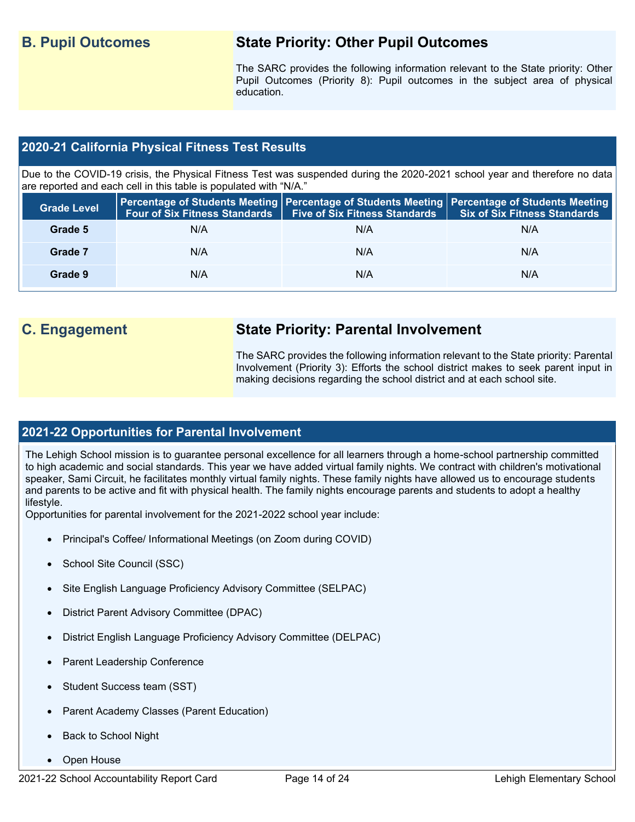## **B. Pupil Outcomes State Priority: Other Pupil Outcomes**

The SARC provides the following information relevant to the State priority: Other Pupil Outcomes (Priority 8): Pupil outcomes in the subject area of physical education.

## **2020-21 California Physical Fitness Test Results**

Due to the COVID-19 crisis, the Physical Fitness Test was suspended during the 2020-2021 school year and therefore no data are reported and each cell in this table is populated with "N/A."

| <b>Grade Level</b> | Four of Six Fitness Standards | Five of Six Fitness Standards Six of Six Fitness Standards | <b>Percentage of Students Meeting   Percentage of Students Meeting   Percentage of Students Meeting  </b> |
|--------------------|-------------------------------|------------------------------------------------------------|-----------------------------------------------------------------------------------------------------------|
| Grade 5            | N/A                           | N/A                                                        | N/A                                                                                                       |
| Grade 7            | N/A                           | N/A                                                        | N/A                                                                                                       |
| Grade 9            | N/A                           | N/A                                                        | N/A                                                                                                       |

## **C. Engagement State Priority: Parental Involvement**

The SARC provides the following information relevant to the State priority: Parental Involvement (Priority 3): Efforts the school district makes to seek parent input in making decisions regarding the school district and at each school site.

## **2021-22 Opportunities for Parental Involvement**

The Lehigh School mission is to guarantee personal excellence for all learners through a home-school partnership committed to high academic and social standards. This year we have added virtual family nights. We contract with children's motivational speaker, Sami Circuit, he facilitates monthly virtual family nights. These family nights have allowed us to encourage students and parents to be active and fit with physical health. The family nights encourage parents and students to adopt a healthy lifestyle.

Opportunities for parental involvement for the 2021-2022 school year include:

- Principal's Coffee/ Informational Meetings (on Zoom during COVID)
- School Site Council (SSC)
- Site English Language Proficiency Advisory Committee (SELPAC)
- District Parent Advisory Committee (DPAC)
- District English Language Proficiency Advisory Committee (DELPAC)
- Parent Leadership Conference
- Student Success team (SST)
- Parent Academy Classes (Parent Education)
- Back to School Night
- Open House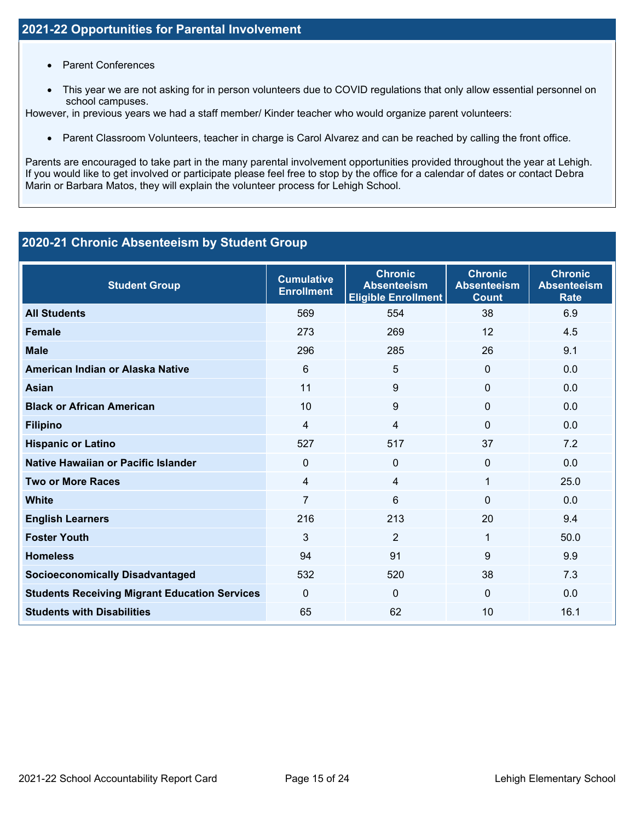- Parent Conferences
- This year we are not asking for in person volunteers due to COVID regulations that only allow essential personnel on school campuses.

However, in previous years we had a staff member/ Kinder teacher who would organize parent volunteers:

• Parent Classroom Volunteers, teacher in charge is Carol Alvarez and can be reached by calling the front office.

Parents are encouraged to take part in the many parental involvement opportunities provided throughout the year at Lehigh. If you would like to get involved or participate please feel free to stop by the office for a calendar of dates or contact Debra Marin or Barbara Matos, they will explain the volunteer process for Lehigh School.

## **2020-21 Chronic Absenteeism by Student Group**

| <b>Student Group</b>                                 | <b>Cumulative</b><br><b>Enrollment</b> | <b>Chronic</b><br><b>Absenteeism</b><br><b>Eligible Enrollment</b> | <b>Chronic</b><br><b>Absenteeism</b><br><b>Count</b> | <b>Chronic</b><br><b>Absenteeism</b><br><b>Rate</b> |
|------------------------------------------------------|----------------------------------------|--------------------------------------------------------------------|------------------------------------------------------|-----------------------------------------------------|
| <b>All Students</b>                                  | 569                                    | 554                                                                | 38                                                   | 6.9                                                 |
| <b>Female</b>                                        | 273                                    | 269                                                                | 12                                                   | 4.5                                                 |
| <b>Male</b>                                          | 296                                    | 285                                                                | 26                                                   | 9.1                                                 |
| American Indian or Alaska Native                     | 6                                      | 5                                                                  | $\Omega$                                             | 0.0                                                 |
| <b>Asian</b>                                         | 11                                     | 9                                                                  | $\Omega$                                             | 0.0                                                 |
| <b>Black or African American</b>                     | 10                                     | 9                                                                  | $\Omega$                                             | 0.0                                                 |
| <b>Filipino</b>                                      | 4                                      | $\overline{4}$                                                     | $\Omega$                                             | 0.0                                                 |
| <b>Hispanic or Latino</b>                            | 527                                    | 517                                                                | 37                                                   | 7.2                                                 |
| <b>Native Hawaiian or Pacific Islander</b>           | $\Omega$                               | $\Omega$                                                           | 0                                                    | 0.0                                                 |
| <b>Two or More Races</b>                             | 4                                      | 4                                                                  | 1                                                    | 25.0                                                |
| <b>White</b>                                         | 7                                      | 6                                                                  | $\Omega$                                             | 0.0                                                 |
| <b>English Learners</b>                              | 216                                    | 213                                                                | 20                                                   | 9.4                                                 |
| <b>Foster Youth</b>                                  | 3                                      | $\overline{2}$                                                     | 1                                                    | 50.0                                                |
| <b>Homeless</b>                                      | 94                                     | 91                                                                 | 9                                                    | 9.9                                                 |
| <b>Socioeconomically Disadvantaged</b>               | 532                                    | 520                                                                | 38                                                   | 7.3                                                 |
| <b>Students Receiving Migrant Education Services</b> | $\Omega$                               | $\Omega$                                                           | $\Omega$                                             | 0.0                                                 |
| <b>Students with Disabilities</b>                    | 65                                     | 62                                                                 | 10                                                   | 16.1                                                |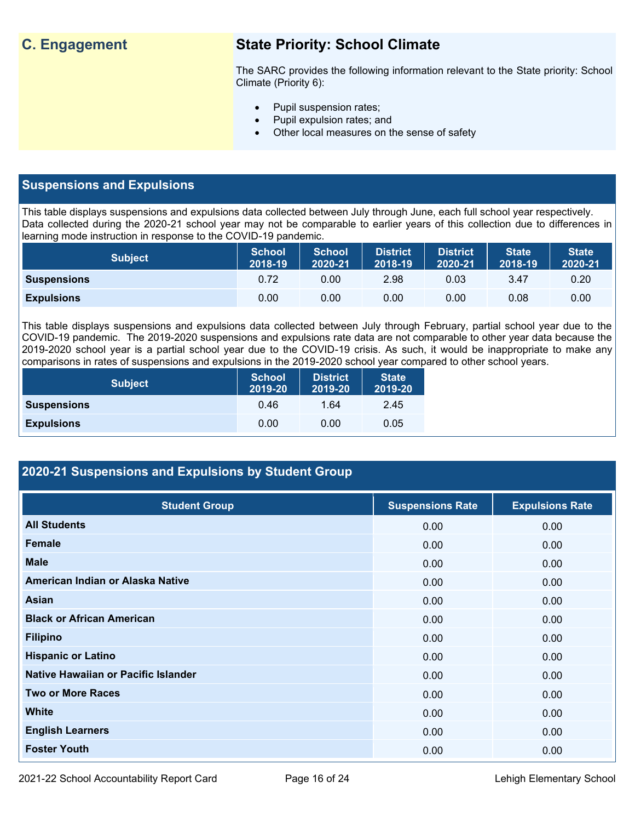## **C. Engagement State Priority: School Climate**

The SARC provides the following information relevant to the State priority: School Climate (Priority 6):

- Pupil suspension rates;
- Pupil expulsion rates; and
- Other local measures on the sense of safety

## **Suspensions and Expulsions**

This table displays suspensions and expulsions data collected between July through June, each full school year respectively. Data collected during the 2020-21 school year may not be comparable to earlier years of this collection due to differences in learning mode instruction in response to the COVID-19 pandemic.

| <b>Subject</b>     | <b>School</b><br>2018-19 | <b>School</b><br>2020-21 | <b>District</b><br>2018-19 | <b>District</b><br>2020-21 | <b>State</b><br>2018-19 | <b>State</b><br>2020-21 |
|--------------------|--------------------------|--------------------------|----------------------------|----------------------------|-------------------------|-------------------------|
| <b>Suspensions</b> | 0.72                     | 0.00                     | 2.98                       | 0.03                       | 3.47                    | 0.20                    |
| <b>Expulsions</b>  | 0.00                     | 0.00                     | 0.00                       | 0.00                       | 0.08                    | 0.00                    |

This table displays suspensions and expulsions data collected between July through February, partial school year due to the COVID-19 pandemic. The 2019-2020 suspensions and expulsions rate data are not comparable to other year data because the 2019-2020 school year is a partial school year due to the COVID-19 crisis. As such, it would be inappropriate to make any comparisons in rates of suspensions and expulsions in the 2019-2020 school year compared to other school years.

| <b>Subject</b>     | <b>School</b><br>2019-20 | <b>District</b><br>2019-20 | <b>State</b><br>2019-20 |
|--------------------|--------------------------|----------------------------|-------------------------|
| <b>Suspensions</b> | 0.46                     | 1.64                       | 2.45                    |
| <b>Expulsions</b>  | 0.00                     | 0.00                       | 0.05                    |

## **2020-21 Suspensions and Expulsions by Student Group**

| <b>Student Group</b>                | <b>Suspensions Rate</b> | <b>Expulsions Rate</b> |
|-------------------------------------|-------------------------|------------------------|
| <b>All Students</b>                 | 0.00                    | 0.00                   |
| <b>Female</b>                       | 0.00                    | 0.00                   |
| <b>Male</b>                         | 0.00                    | 0.00                   |
| American Indian or Alaska Native    | 0.00                    | 0.00                   |
| Asian                               | 0.00                    | 0.00                   |
| <b>Black or African American</b>    | 0.00                    | 0.00                   |
| <b>Filipino</b>                     | 0.00                    | 0.00                   |
| <b>Hispanic or Latino</b>           | 0.00                    | 0.00                   |
| Native Hawaiian or Pacific Islander | 0.00                    | 0.00                   |
| <b>Two or More Races</b>            | 0.00                    | 0.00                   |
| <b>White</b>                        | 0.00                    | 0.00                   |
| <b>English Learners</b>             | 0.00                    | 0.00                   |
| <b>Foster Youth</b>                 | 0.00                    | 0.00                   |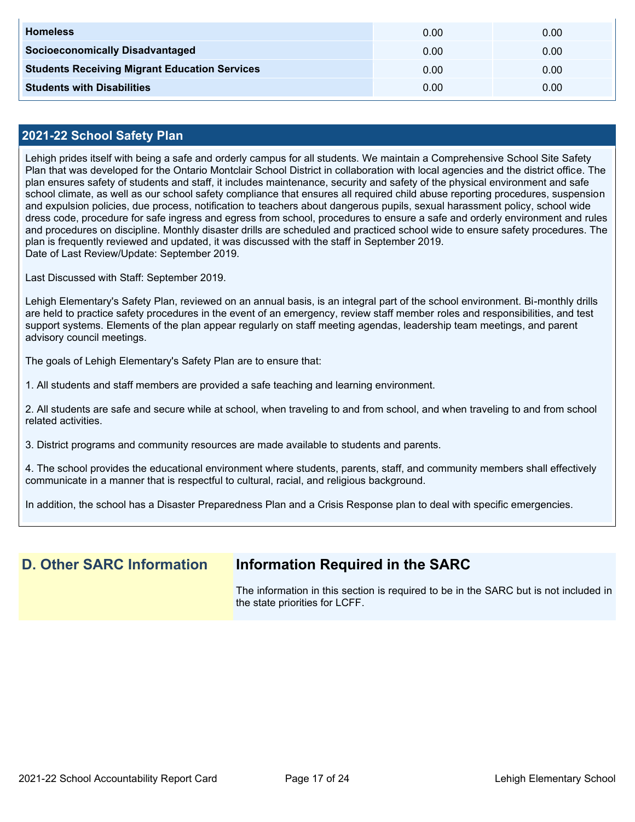| <b>Homeless</b>                                      | 0.00 | 0.00 |
|------------------------------------------------------|------|------|
| <b>Socioeconomically Disadvantaged</b>               | 0.00 | 0.00 |
| <b>Students Receiving Migrant Education Services</b> | 0.00 | 0.00 |
| <b>Students with Disabilities</b>                    | 0.00 | 0.00 |

### **2021-22 School Safety Plan**

Lehigh prides itself with being a safe and orderly campus for all students. We maintain a Comprehensive School Site Safety Plan that was developed for the Ontario Montclair School District in collaboration with local agencies and the district office. The plan ensures safety of students and staff, it includes maintenance, security and safety of the physical environment and safe school climate, as well as our school safety compliance that ensures all required child abuse reporting procedures, suspension and expulsion policies, due process, notification to teachers about dangerous pupils, sexual harassment policy, school wide dress code, procedure for safe ingress and egress from school, procedures to ensure a safe and orderly environment and rules and procedures on discipline. Monthly disaster drills are scheduled and practiced school wide to ensure safety procedures. The plan is frequently reviewed and updated, it was discussed with the staff in September 2019. Date of Last Review/Update: September 2019.

Last Discussed with Staff: September 2019.

Lehigh Elementary's Safety Plan, reviewed on an annual basis, is an integral part of the school environment. Bi-monthly drills are held to practice safety procedures in the event of an emergency, review staff member roles and responsibilities, and test support systems. Elements of the plan appear regularly on staff meeting agendas, leadership team meetings, and parent advisory council meetings.

The goals of Lehigh Elementary's Safety Plan are to ensure that:

1. All students and staff members are provided a safe teaching and learning environment.

2. All students are safe and secure while at school, when traveling to and from school, and when traveling to and from school related activities.

3. District programs and community resources are made available to students and parents.

4. The school provides the educational environment where students, parents, staff, and community members shall effectively communicate in a manner that is respectful to cultural, racial, and religious background.

In addition, the school has a Disaster Preparedness Plan and a Crisis Response plan to deal with specific emergencies.

## **D. Other SARC Information Information Required in the SARC**

The information in this section is required to be in the SARC but is not included in the state priorities for LCFF.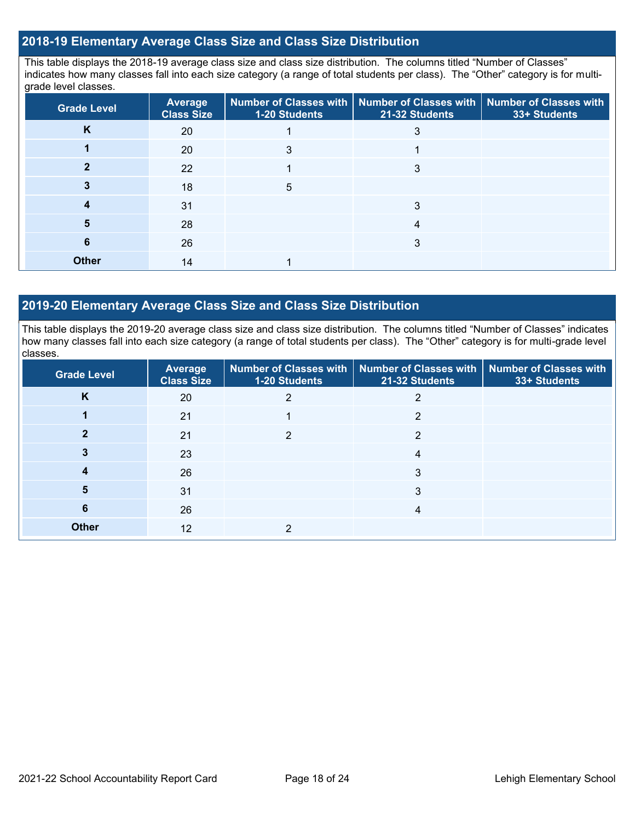### **2018-19 Elementary Average Class Size and Class Size Distribution**

This table displays the 2018-19 average class size and class size distribution. The columns titled "Number of Classes" indicates how many classes fall into each size category (a range of total students per class). The "Other" category is for multigrade level classes.

| <b>Grade Level</b> | Average<br><b>Class Size</b> | 1-20 Students | Number of Classes with   Number of Classes with   Number of Classes with<br>21-32 Students | 33+ Students |
|--------------------|------------------------------|---------------|--------------------------------------------------------------------------------------------|--------------|
| K                  | 20                           |               |                                                                                            |              |
|                    | 20                           | 3             |                                                                                            |              |
|                    | 22                           |               | 3                                                                                          |              |
|                    | 18                           | 5             |                                                                                            |              |
|                    | 31                           |               | 3                                                                                          |              |
|                    | 28                           |               | 4                                                                                          |              |
| 6                  | 26                           |               | 3                                                                                          |              |
| <b>Other</b>       | 14                           |               |                                                                                            |              |

### **2019-20 Elementary Average Class Size and Class Size Distribution**

This table displays the 2019-20 average class size and class size distribution. The columns titled "Number of Classes" indicates how many classes fall into each size category (a range of total students per class). The "Other" category is for multi-grade level classes.

| Grade Level  | <b>Average</b><br><b>Class Size</b> | 1-20 Students | Number of Classes with   Number of Classes with<br>21-32 Students | Number of Classes with<br>33+ Students |
|--------------|-------------------------------------|---------------|-------------------------------------------------------------------|----------------------------------------|
| K            | 20                                  |               |                                                                   |                                        |
|              | 21                                  |               | 2                                                                 |                                        |
|              | 21                                  | 2             | 2                                                                 |                                        |
|              | 23                                  |               | 4                                                                 |                                        |
| 4            | 26                                  |               | 3                                                                 |                                        |
| 5            | 31                                  |               | 3                                                                 |                                        |
| 6            | 26                                  |               | 4                                                                 |                                        |
| <b>Other</b> | 12                                  | ◠             |                                                                   |                                        |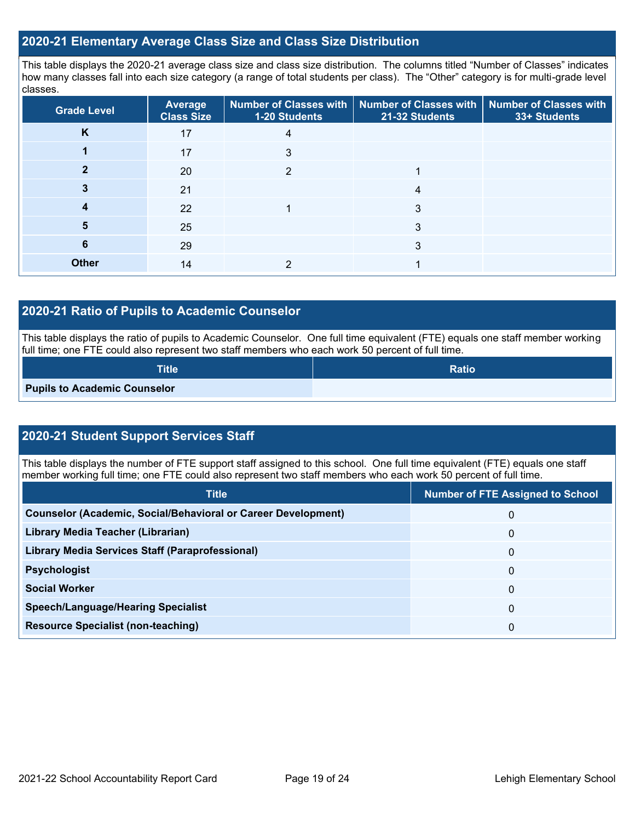### **2020-21 Elementary Average Class Size and Class Size Distribution**

This table displays the 2020-21 average class size and class size distribution. The columns titled "Number of Classes" indicates how many classes fall into each size category (a range of total students per class). The "Other" category is for multi-grade level classes.

| <b>Grade Level</b> | <b>Average</b><br><b>Class Size</b> | 1-20 Students | Number of Classes with   Number of Classes with   Number of Classes with<br>21-32 Students | 33+ Students |
|--------------------|-------------------------------------|---------------|--------------------------------------------------------------------------------------------|--------------|
| K                  | 17                                  | 4             |                                                                                            |              |
|                    | 17                                  | 3             |                                                                                            |              |
|                    | 20                                  | 2             |                                                                                            |              |
|                    | 21                                  |               | 4                                                                                          |              |
| 4                  | 22                                  |               | 3                                                                                          |              |
| 5                  | 25                                  |               | 3                                                                                          |              |
| 6                  | 29                                  |               | 3                                                                                          |              |
| <b>Other</b>       | 14                                  |               |                                                                                            |              |

### **2020-21 Ratio of Pupils to Academic Counselor**

This table displays the ratio of pupils to Academic Counselor. One full time equivalent (FTE) equals one staff member working full time; one FTE could also represent two staff members who each work 50 percent of full time.

| <b>Title</b>                        | <b>Ratio</b> |
|-------------------------------------|--------------|
| <b>Pupils to Academic Counselor</b> |              |

## **2020-21 Student Support Services Staff**

This table displays the number of FTE support staff assigned to this school. One full time equivalent (FTE) equals one staff member working full time; one FTE could also represent two staff members who each work 50 percent of full time.

| <b>Title</b>                                                         | <b>Number of FTE Assigned to School</b> |
|----------------------------------------------------------------------|-----------------------------------------|
| <b>Counselor (Academic, Social/Behavioral or Career Development)</b> | 0                                       |
| Library Media Teacher (Librarian)                                    | 0                                       |
| Library Media Services Staff (Paraprofessional)                      | 0                                       |
| <b>Psychologist</b>                                                  | 0                                       |
| <b>Social Worker</b>                                                 | 0                                       |
| <b>Speech/Language/Hearing Specialist</b>                            | 0                                       |
| <b>Resource Specialist (non-teaching)</b>                            | 0                                       |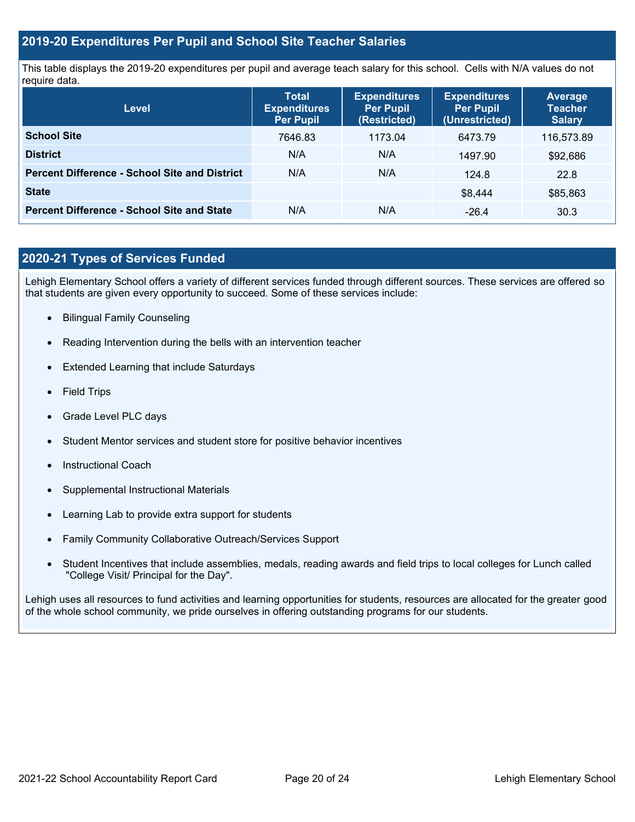### **2019-20 Expenditures Per Pupil and School Site Teacher Salaries**

This table displays the 2019-20 expenditures per pupil and average teach salary for this school. Cells with N/A values do not require data.

| Level                                                | <b>Total</b><br><b>Expenditures</b><br><b>Per Pupil</b> | <b>Expenditures</b><br><b>Per Pupil</b><br>(Restricted) | <b>Expenditures</b><br><b>Per Pupil</b><br>(Unrestricted) | <b>Average</b><br><b>Teacher</b><br><b>Salary</b> |
|------------------------------------------------------|---------------------------------------------------------|---------------------------------------------------------|-----------------------------------------------------------|---------------------------------------------------|
| <b>School Site</b>                                   | 7646.83                                                 | 1173.04                                                 | 6473.79                                                   | 116,573.89                                        |
| <b>District</b>                                      | N/A                                                     | N/A                                                     | 1497.90                                                   | \$92,686                                          |
| <b>Percent Difference - School Site and District</b> | N/A                                                     | N/A                                                     | 124.8                                                     | 22.8                                              |
| <b>State</b>                                         |                                                         |                                                         | \$8.444                                                   | \$85,863                                          |
| <b>Percent Difference - School Site and State</b>    | N/A                                                     | N/A                                                     | $-26.4$                                                   | 30.3                                              |

## **2020-21 Types of Services Funded**

Lehigh Elementary School offers a variety of different services funded through different sources. These services are offered so that students are given every opportunity to succeed. Some of these services include:

- Bilingual Family Counseling
- Reading Intervention during the bells with an intervention teacher
- Extended Learning that include Saturdays
- Field Trips
- Grade Level PLC days
- Student Mentor services and student store for positive behavior incentives
- Instructional Coach
- Supplemental Instructional Materials
- Learning Lab to provide extra support for students
- Family Community Collaborative Outreach/Services Support
- Student Incentives that include assemblies, medals, reading awards and field trips to local colleges for Lunch called "College Visit/ Principal for the Day".

Lehigh uses all resources to fund activities and learning opportunities for students, resources are allocated for the greater good of the whole school community, we pride ourselves in offering outstanding programs for our students.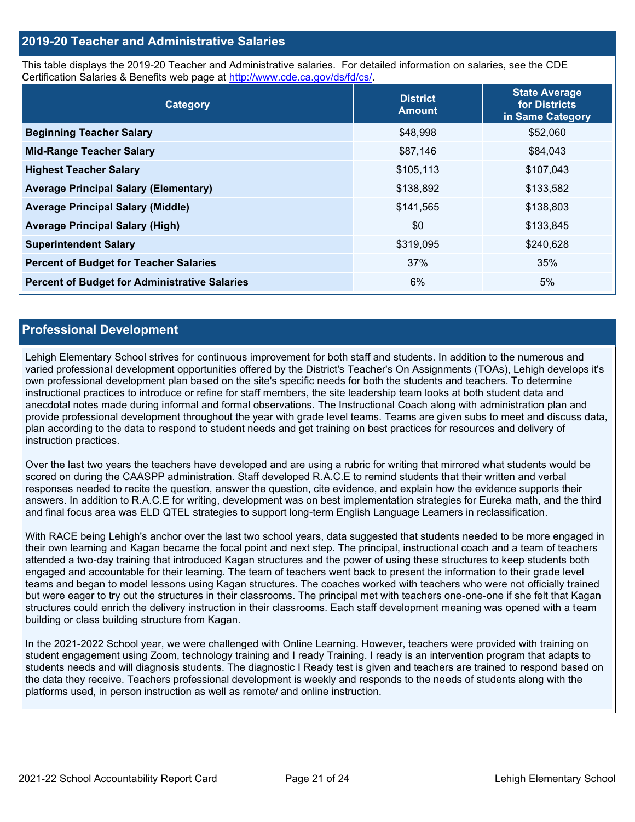### **2019-20 Teacher and Administrative Salaries**

This table displays the 2019-20 Teacher and Administrative salaries. For detailed information on salaries, see the CDE Certification Salaries & Benefits web page at [http://www.cde.ca.gov/ds/fd/cs/.](http://www.cde.ca.gov/ds/fd/cs/)

| Category                                             | <b>District</b><br><b>Amount</b> | <b>State Average</b><br>for Districts<br>in Same Category |
|------------------------------------------------------|----------------------------------|-----------------------------------------------------------|
| <b>Beginning Teacher Salary</b>                      | \$48,998                         | \$52,060                                                  |
| <b>Mid-Range Teacher Salary</b>                      | \$87,146                         | \$84,043                                                  |
| <b>Highest Teacher Salary</b>                        | \$105,113                        | \$107,043                                                 |
| <b>Average Principal Salary (Elementary)</b>         | \$138,892                        | \$133,582                                                 |
| <b>Average Principal Salary (Middle)</b>             | \$141,565                        | \$138,803                                                 |
| <b>Average Principal Salary (High)</b>               | \$0                              | \$133,845                                                 |
| <b>Superintendent Salary</b>                         | \$319,095                        | \$240,628                                                 |
| <b>Percent of Budget for Teacher Salaries</b>        | 37%                              | 35%                                                       |
| <b>Percent of Budget for Administrative Salaries</b> | 6%                               | 5%                                                        |

### **Professional Development**

Lehigh Elementary School strives for continuous improvement for both staff and students. In addition to the numerous and varied professional development opportunities offered by the District's Teacher's On Assignments (TOAs), Lehigh develops it's own professional development plan based on the site's specific needs for both the students and teachers. To determine instructional practices to introduce or refine for staff members, the site leadership team looks at both student data and anecdotal notes made during informal and formal observations. The Instructional Coach along with administration plan and provide professional development throughout the year with grade level teams. Teams are given subs to meet and discuss data, plan according to the data to respond to student needs and get training on best practices for resources and delivery of instruction practices.

Over the last two years the teachers have developed and are using a rubric for writing that mirrored what students would be scored on during the CAASPP administration. Staff developed R.A.C.E to remind students that their written and verbal responses needed to recite the question, answer the question, cite evidence, and explain how the evidence supports their answers. In addition to R.A.C.E for writing, development was on best implementation strategies for Eureka math, and the third and final focus area was ELD QTEL strategies to support long-term English Language Learners in reclassification.

With RACE being Lehigh's anchor over the last two school years, data suggested that students needed to be more engaged in their own learning and Kagan became the focal point and next step. The principal, instructional coach and a team of teachers attended a two-day training that introduced Kagan structures and the power of using these structures to keep students both engaged and accountable for their learning. The team of teachers went back to present the information to their grade level teams and began to model lessons using Kagan structures. The coaches worked with teachers who were not officially trained but were eager to try out the structures in their classrooms. The principal met with teachers one-one-one if she felt that Kagan structures could enrich the delivery instruction in their classrooms. Each staff development meaning was opened with a team building or class building structure from Kagan.

In the 2021-2022 School year, we were challenged with Online Learning. However, teachers were provided with training on student engagement using Zoom, technology training and I ready Training. I ready is an intervention program that adapts to students needs and will diagnosis students. The diagnostic I Ready test is given and teachers are trained to respond based on the data they receive. Teachers professional development is weekly and responds to the needs of students along with the platforms used, in person instruction as well as remote/ and online instruction.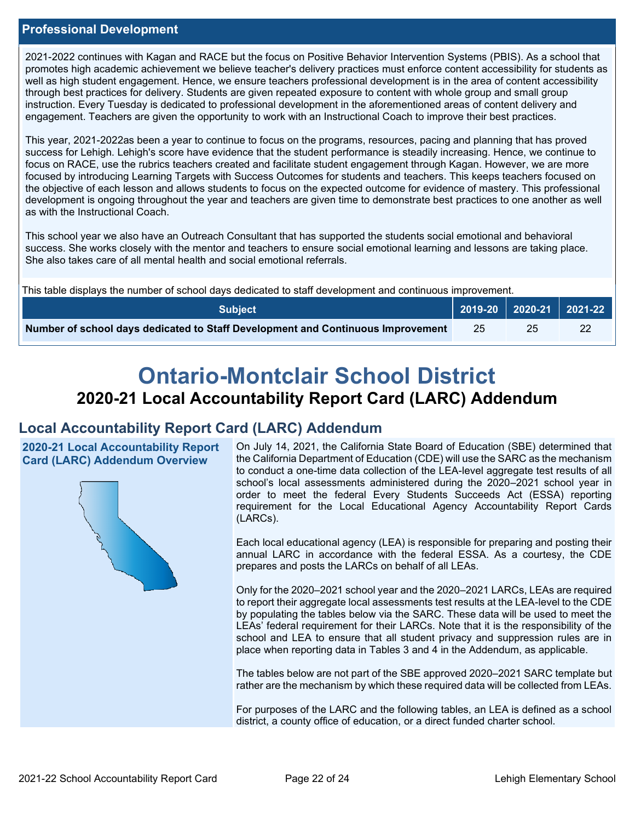## **Professional Development**

2021-2022 continues with Kagan and RACE but the focus on Positive Behavior Intervention Systems (PBIS). As a school that promotes high academic achievement we believe teacher's delivery practices must enforce content accessibility for students as well as high student engagement. Hence, we ensure teachers professional development is in the area of content accessibility through best practices for delivery. Students are given repeated exposure to content with whole group and small group instruction. Every Tuesday is dedicated to professional development in the aforementioned areas of content delivery and engagement. Teachers are given the opportunity to work with an Instructional Coach to improve their best practices.

This year, 2021-2022as been a year to continue to focus on the programs, resources, pacing and planning that has proved success for Lehigh. Lehigh's score have evidence that the student performance is steadily increasing. Hence, we continue to focus on RACE, use the rubrics teachers created and facilitate student engagement through Kagan. However, we are more focused by introducing Learning Targets with Success Outcomes for students and teachers. This keeps teachers focused on the objective of each lesson and allows students to focus on the expected outcome for evidence of mastery. This professional development is ongoing throughout the year and teachers are given time to demonstrate best practices to one another as well as with the Instructional Coach.

This school year we also have an Outreach Consultant that has supported the students social emotional and behavioral success. She works closely with the mentor and teachers to ensure social emotional learning and lessons are taking place. She also takes care of all mental health and social emotional referrals.

This table displays the number of school days dedicated to staff development and continuous improvement.

| <b>Subject</b>                                                                  |    | 2019-20   2020-21   2021-22 |  |
|---------------------------------------------------------------------------------|----|-----------------------------|--|
| Number of school days dedicated to Staff Development and Continuous Improvement | 25 |                             |  |

# **Ontario-Montclair School District 2020-21 Local Accountability Report Card (LARC) Addendum**

## **Local Accountability Report Card (LARC) Addendum**

**2020-21 Local Accountability Report Card (LARC) Addendum Overview**



On July 14, 2021, the California State Board of Education (SBE) determined that the California Department of Education (CDE) will use the SARC as the mechanism to conduct a one-time data collection of the LEA-level aggregate test results of all school's local assessments administered during the 2020–2021 school year in order to meet the federal Every Students Succeeds Act (ESSA) reporting requirement for the Local Educational Agency Accountability Report Cards (LARCs).

Each local educational agency (LEA) is responsible for preparing and posting their annual LARC in accordance with the federal ESSA. As a courtesy, the CDE prepares and posts the LARCs on behalf of all LEAs.

Only for the 2020–2021 school year and the 2020–2021 LARCs, LEAs are required to report their aggregate local assessments test results at the LEA-level to the CDE by populating the tables below via the SARC. These data will be used to meet the LEAs' federal requirement for their LARCs. Note that it is the responsibility of the school and LEA to ensure that all student privacy and suppression rules are in place when reporting data in Tables 3 and 4 in the Addendum, as applicable.

The tables below are not part of the SBE approved 2020–2021 SARC template but rather are the mechanism by which these required data will be collected from LEAs.

For purposes of the LARC and the following tables, an LEA is defined as a school district, a county office of education, or a direct funded charter school.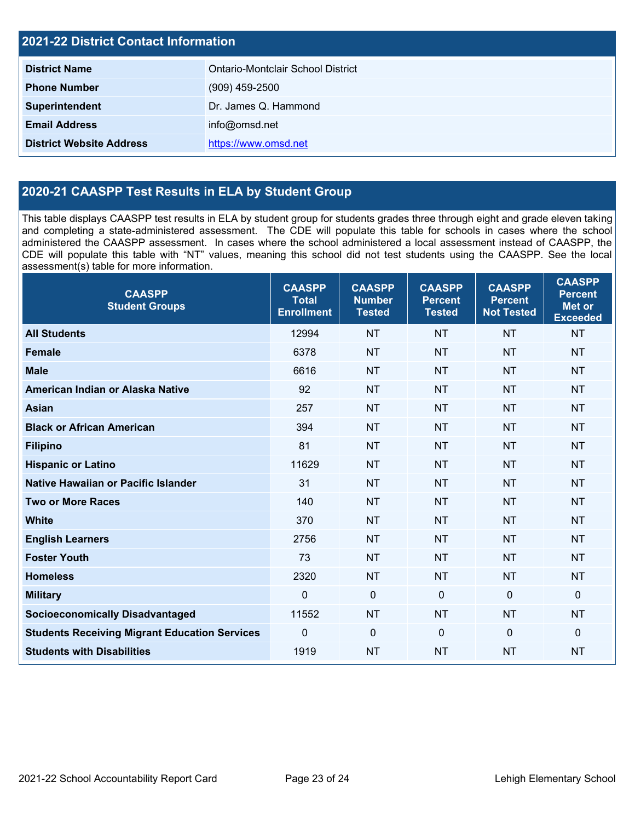| <b>2021-22 District Contact Information</b> |                                   |  |  |
|---------------------------------------------|-----------------------------------|--|--|
| <b>District Name</b>                        | Ontario-Montclair School District |  |  |
| <b>Phone Number</b>                         | $(909)$ 459-2500                  |  |  |
| Superintendent                              | Dr. James Q. Hammond              |  |  |
| <b>Email Address</b>                        | info@omsd.net                     |  |  |
| <b>District Website Address</b>             | https://www.omsd.net              |  |  |

## **2020-21 CAASPP Test Results in ELA by Student Group**

This table displays CAASPP test results in ELA by student group for students grades three through eight and grade eleven taking and completing a state-administered assessment. The CDE will populate this table for schools in cases where the school administered the CAASPP assessment. In cases where the school administered a local assessment instead of CAASPP, the CDE will populate this table with "NT" values, meaning this school did not test students using the CAASPP. See the local assessment(s) table for more information.

| <b>CAASPP</b><br><b>Student Groups</b>               | <b>CAASPP</b><br><b>Total</b><br><b>Enrollment</b> | <b>CAASPP</b><br><b>Number</b><br><b>Tested</b> | <b>CAASPP</b><br><b>Percent</b><br><b>Tested</b> | <b>CAASPP</b><br><b>Percent</b><br><b>Not Tested</b> | <b>CAASPP</b><br><b>Percent</b><br><b>Met or</b><br><b>Exceeded</b> |
|------------------------------------------------------|----------------------------------------------------|-------------------------------------------------|--------------------------------------------------|------------------------------------------------------|---------------------------------------------------------------------|
| <b>All Students</b>                                  | 12994                                              | <b>NT</b>                                       | <b>NT</b>                                        | <b>NT</b>                                            | <b>NT</b>                                                           |
| <b>Female</b>                                        | 6378                                               | <b>NT</b>                                       | <b>NT</b>                                        | <b>NT</b>                                            | <b>NT</b>                                                           |
| <b>Male</b>                                          | 6616                                               | <b>NT</b>                                       | <b>NT</b>                                        | <b>NT</b>                                            | <b>NT</b>                                                           |
| American Indian or Alaska Native                     | 92                                                 | <b>NT</b>                                       | <b>NT</b>                                        | <b>NT</b>                                            | <b>NT</b>                                                           |
| <b>Asian</b>                                         | 257                                                | <b>NT</b>                                       | <b>NT</b>                                        | <b>NT</b>                                            | <b>NT</b>                                                           |
| <b>Black or African American</b>                     | 394                                                | <b>NT</b>                                       | <b>NT</b>                                        | <b>NT</b>                                            | <b>NT</b>                                                           |
| <b>Filipino</b>                                      | 81                                                 | <b>NT</b>                                       | <b>NT</b>                                        | <b>NT</b>                                            | <b>NT</b>                                                           |
| <b>Hispanic or Latino</b>                            | 11629                                              | <b>NT</b>                                       | <b>NT</b>                                        | <b>NT</b>                                            | <b>NT</b>                                                           |
| <b>Native Hawaiian or Pacific Islander</b>           | 31                                                 | <b>NT</b>                                       | <b>NT</b>                                        | <b>NT</b>                                            | <b>NT</b>                                                           |
| <b>Two or More Races</b>                             | 140                                                | <b>NT</b>                                       | <b>NT</b>                                        | <b>NT</b>                                            | <b>NT</b>                                                           |
| <b>White</b>                                         | 370                                                | <b>NT</b>                                       | <b>NT</b>                                        | <b>NT</b>                                            | <b>NT</b>                                                           |
| <b>English Learners</b>                              | 2756                                               | <b>NT</b>                                       | <b>NT</b>                                        | <b>NT</b>                                            | <b>NT</b>                                                           |
| <b>Foster Youth</b>                                  | 73                                                 | <b>NT</b>                                       | <b>NT</b>                                        | <b>NT</b>                                            | <b>NT</b>                                                           |
| <b>Homeless</b>                                      | 2320                                               | <b>NT</b>                                       | <b>NT</b>                                        | <b>NT</b>                                            | <b>NT</b>                                                           |
| <b>Military</b>                                      | $\mathbf 0$                                        | $\mathbf 0$                                     | $\mathbf 0$                                      | $\overline{0}$                                       | $\mathbf 0$                                                         |
| <b>Socioeconomically Disadvantaged</b>               | 11552                                              | <b>NT</b>                                       | <b>NT</b>                                        | <b>NT</b>                                            | <b>NT</b>                                                           |
| <b>Students Receiving Migrant Education Services</b> | $\mathbf 0$                                        | $\pmb{0}$                                       | $\mathbf{0}$                                     | $\Omega$                                             | $\mathbf 0$                                                         |
| <b>Students with Disabilities</b>                    | 1919                                               | <b>NT</b>                                       | <b>NT</b>                                        | <b>NT</b>                                            | <b>NT</b>                                                           |